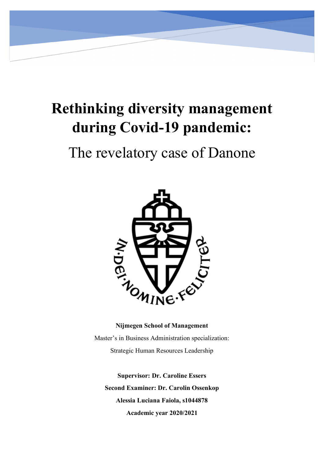# **Rethinking diversity management during Covid-19 pandemic:**

# The revelatory case of Danone



# **Nijmegen School of Management**

Master's in Business Administration specialization: Strategic Human Resources Leadership

**Supervisor: Dr. Caroline Essers Second Examiner: Dr. Carolin Ossenkop Alessia Luciana Faiola, s1044878 Academic year 2020/2021**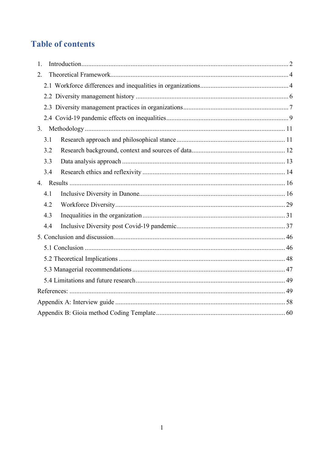# **Table of contents**

| 1.  |  |  |  |  |  |
|-----|--|--|--|--|--|
| 2.  |  |  |  |  |  |
|     |  |  |  |  |  |
|     |  |  |  |  |  |
|     |  |  |  |  |  |
|     |  |  |  |  |  |
| 3.  |  |  |  |  |  |
| 3.1 |  |  |  |  |  |
| 3.2 |  |  |  |  |  |
| 3.3 |  |  |  |  |  |
| 3.4 |  |  |  |  |  |
|     |  |  |  |  |  |
| 4.1 |  |  |  |  |  |
| 4.2 |  |  |  |  |  |
| 4.3 |  |  |  |  |  |
| 4.4 |  |  |  |  |  |
|     |  |  |  |  |  |
|     |  |  |  |  |  |
|     |  |  |  |  |  |
|     |  |  |  |  |  |
|     |  |  |  |  |  |
|     |  |  |  |  |  |
|     |  |  |  |  |  |
|     |  |  |  |  |  |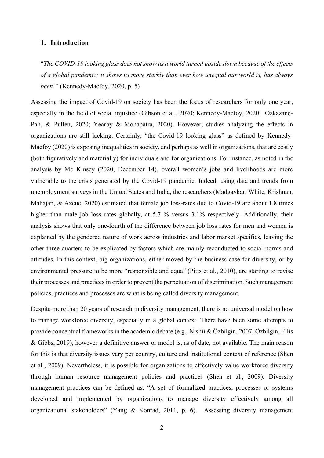# <span id="page-2-0"></span>**1. Introduction**

"*The COVID-19 looking glass does not show us a world turned upside down because of the effects of a global pandemic; it shows us more starkly than ever how unequal our world is, has always been."* (Kennedy-Macfoy, 2020, p. 5)

Assessing the impact of Covid-19 on society has been the focus of researchers for only one year, especially in the field of social injustice (Gibson et al., 2020; Kennedy-Macfoy, 2020; Özkazanç‐ Pan, & Pullen, 2020; Yearby & Mohapatra, 2020). However, studies analyzing the effects in organizations are still lacking. Certainly, "the Covid-19 looking glass" as defined by Kennedy-Macfoy (2020) is exposing inequalities in society, and perhaps as well in organizations, that are costly (both figuratively and materially) for individuals and for organizations. For instance, as noted in the analysis by Mc Kinsey (2020, December 14), overall women's jobs and livelihoods are more vulnerable to the crisis generated by the Covid-19 pandemic. Indeed, using data and trends from unemployment surveys in the United States and India, the researchers (Madgavkar, White, Krishnan, Mahajan, & Azcue, 2020) estimated that female job loss-rates due to Covid-19 are about 1.8 times higher than male job loss rates globally, at 5.7 % versus 3.1% respectively. Additionally, their analysis shows that only one-fourth of the difference between job loss rates for men and women is explained by the gendered nature of work across industries and labor market specifics, leaving the other three-quarters to be explicated by factors which are mainly reconducted to social norms and attitudes. In this context, big organizations, either moved by the business case for diversity, or by environmental pressure to be more "responsible and equal"(Pitts et al., 2010), are starting to revise their processes and practices in order to prevent the perpetuation of discrimination. Such management policies, practices and processes are what is being called diversity management.

Despite more than 20 years of research in diversity management, there is no universal model on how to manage workforce diversity, especially in a global context. There have been some attempts to provide conceptual frameworks in the academic debate (e.g., Nishii & Özbilgin, 2007; Özbilgin, Ellis & Gibbs, 2019), however a definitive answer or model is, as of date, not available. The main reason for this is that diversity issues vary per country, culture and institutional context of reference (Shen et al., 2009). Nevertheless, it is possible for organizations to effectively value workforce diversity through human resource management policies and practices (Shen et al., 2009). Diversity management practices can be defined as: "A set of formalized practices, processes or systems developed and implemented by organizations to manage diversity effectively among all organizational stakeholders" (Yang & Konrad, 2011, p. 6). Assessing diversity management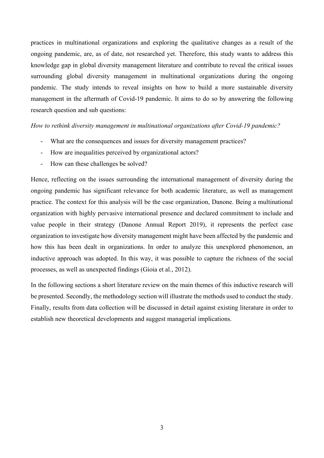practices in multinational organizations and exploring the qualitative changes as a result of the ongoing pandemic, are, as of date, not researched yet. Therefore, this study wants to address this knowledge gap in global diversity management literature and contribute to reveal the critical issues surrounding global diversity management in multinational organizations during the ongoing pandemic. The study intends to reveal insights on how to build a more sustainable diversity management in the aftermath of Covid-19 pandemic. It aims to do so by answering the following research question and sub questions:

#### *How to rethink diversity management in multinational organizations after Covid-19 pandemic?*

- What are the consequences and issues for diversity management practices?
- How are inequalities perceived by organizational actors?
- How can these challenges be solved?

Hence, reflecting on the issues surrounding the international management of diversity during the ongoing pandemic has significant relevance for both academic literature, as well as management practice. The context for this analysis will be the case organization, Danone. Being a multinational organization with highly pervasive international presence and declared commitment to include and value people in their strategy (Danone Annual Report 2019), it represents the perfect case organization to investigate how diversity management might have been affected by the pandemic and how this has been dealt in organizations. In order to analyze this unexplored phenomenon, an inductive approach was adopted. In this way, it was possible to capture the richness of the social processes, as well as unexpected findings (Gioia et al., 2012).

In the following sections a short literature review on the main themes of this inductive research will be presented. Secondly, the methodology section will illustrate the methods used to conduct the study. Finally, results from data collection will be discussed in detail against existing literature in order to establish new theoretical developments and suggest managerial implications.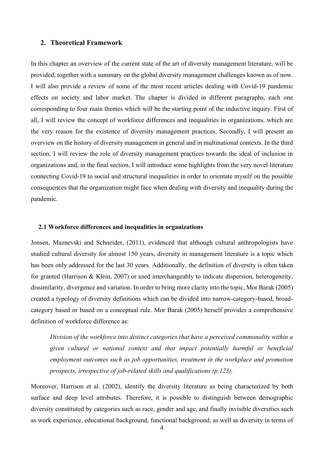#### <span id="page-4-0"></span>**2. Theoretical Framework**

In this chapter an overview of the current state of the art of diversity management literature, will be provided, together with a summary on the global diversity management challenges known as of now. I will also provide a review of some of the most recent articles dealing with Covid-19 pandemic effects on society and labor market. The chapter is divided in different paragraphs, each one corresponding to four main themes which will be the starting point of the inductive inquiry. First of all, I will review the concept of workforce differences and inequalities in organizations, which are the very reason for the existence of diversity management practices. Secondly, I will present an overview on the history of diversity management in general and in multinational contexts. In the third section, I will review the role of diversity management practices towards the ideal of inclusion in organizations and, in the final section, I will introduce some highlights from the very novel literature connecting Covid-19 to social and structural inequalities in order to orientate myself on the possible consequences that the organization might face when dealing with diversity and inequality during the pandemic.

#### <span id="page-4-1"></span>**2.1 Workforce differences and inequalities in organizations**

Jonsen, Maznevski and Schneider, (2011), evidenced that although cultural anthropologists have studied cultural diversity for almost 150 years, diversity in management literature is a topic which has been only addressed for the last 30 years. Additionally, the definition of diversity is often taken for granted (Harrison & Klein, 2007) or used interchangeably to indicate dispersion, heterogeneity, dissimilarity, divergence and variation. In order to bring more clarity into the topic, Mor Barak (2005) created a typology of diversity definitions which can be divided into narrow-category-based, broadcategory based or based on a conceptual rule. Mor Barak (2005) herself provides a comprehensive definition of workforce difference as:

*Division of the workforce into distinct categories that have a perceived commonality within a given cultural or national context and that impact potentially harmful or beneficial employment outcomes such as job opportunities, treatment in the workplace and promotion prospects, irrespective of job-related skills and qualifications (p.123),* 

Moreover, Harrison et al. (2002), identify the diversity literature as being characterized by both surface and deep level attributes. Therefore, it is possible to distinguish between demographic diversity constituted by categories such as race, gender and age, and finally invisible diversities such as work experience, educational background, functional background, as well as diversity in terms of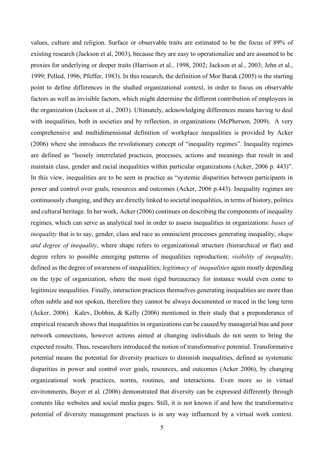values, culture and religion. Surface or observable traits are estimated to be the focus of 89% of existing research (Jackson et al, 2003), because they are easy to operationalize and are assumed to be proxies for underlying or deeper traits (Harrison et al., 1998, 2002; Jackson et al., 2003; Jehn et al., 1999; Pelled, 1996; Pfeffer, 1983). In this research, the definition of Mor Barak (2005) is the starting point to define differences in the studied organizational context, in order to focus on observable factors as well as invisible factors, which might determine the different contribution of employees in the organization (Jackson et al., 2003). Ultimately, acknowledging differences means having to deal with inequalities, both in societies and by reflection, in organizations (McPherson, 2009). A very comprehensive and multidimensional definition of workplace inequalities is provided by Acker (2006) where she introduces the revolutionary concept of "inequality regimes". Inequality regimes are defined as "loosely interrelated practices, processes, actions and meanings that result in and maintain class, gender and racial inequalities within particular organizations (Acker, 2006 p. 443)". In this view, inequalities are to be seen in practice as "systemic disparities between participants in power and control over goals, resources and outcomes (Acker, 2006 p.443). Inequality regimes are continuously changing, and they are directly linked to societal inequalities, in terms of history, politics and cultural heritage. In her work, Acker (2006) continues on describing the components of inequality regimes, which can serve as analytical tool in order to assess inequalities in organizations: *bases of inequality* that is to say, gender, class and race as omniscient processes generating inequality; *shape and degree of inequality*, where shape refers to organizational structure (hierarchical or flat) and degree refers to possible emerging patterns of inequalities reproduction; *visibility of inequality*, defined as the degree of awareness of inequalities; *legitimacy of inequalities* again mostly depending on the type of organization, where the most rigid bureaucracy for instance would even come to legitimize inequalities. Finally, interaction practices themselves generating inequalities are more than often subtle and not spoken, therefore they cannot be always documented or traced in the long term (Acker, 2006). Kalev, Dobbin, & Kelly (2006) mentioned in their study that a preponderance of empirical research shows that inequalities in organizations can be caused by managerial bias and poor network connections, however actions aimed at changing individuals do not seem to bring the expected results. Thus, researchers introduced the notion of transformative potential. Transformative potential means the potential for diversity practices to diminish inequalities, defined as systematic disparities in power and control over goals, resources, and outcomes (Acker 2006), by changing organizational work practices, norms, routines, and interactions. Even more so in virtual environments, Boyer et al. (2006) demonstrated that diversity can be expressed differently through contents like websites and social media pages. Still, it is not known if and how the transformative potential of diversity management practices is in any way influenced by a virtual work context.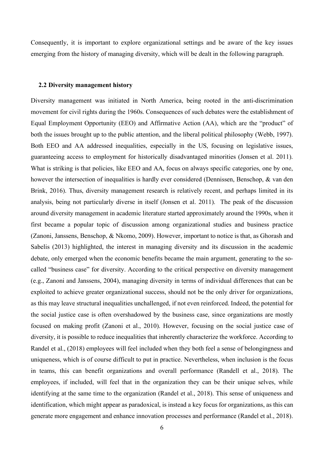Consequently, it is important to explore organizational settings and be aware of the key issues emerging from the history of managing diversity, which will be dealt in the following paragraph.

#### <span id="page-6-0"></span>**2.2 Diversity management history**

Diversity management was initiated in North America, being rooted in the anti-discrimination movement for civil rights during the 1960s. Consequences of such debates were the establishment of Equal Employment Opportunity (EEO) and Affirmative Action (AA), which are the "product" of both the issues brought up to the public attention, and the liberal political philosophy (Webb, 1997). Both EEO and AA addressed inequalities, especially in the US, focusing on legislative issues, guaranteeing access to employment for historically disadvantaged minorities (Jonsen et al. 2011). What is striking is that policies, like EEO and AA, focus on always specific categories, one by one, however the intersection of inequalities is hardly ever considered (Dennissen, Benschop, & van den Brink, 2016). Thus, diversity management research is relatively recent, and perhaps limited in its analysis, being not particularly diverse in itself (Jonsen et al. 2011). The peak of the discussion around diversity management in academic literature started approximately around the 1990s, when it first became a popular topic of discussion among organizational studies and business practice (Zanoni, Janssens, Benschop, & Nkomo, 2009). However, important to notice is that, as Ghorash and Sabelis (2013) highlighted, the interest in managing diversity and its discussion in the academic debate, only emerged when the economic benefits became the main argument, generating to the socalled "business case" for diversity. According to the critical perspective on diversity management (e.g., Zanoni and Janssens, 2004), managing diversity in terms of individual differences that can be exploited to achieve greater organizational success, should not be the only driver for organizations, as this may leave structural inequalities unchallenged, if not even reinforced. Indeed, the potential for the social justice case is often overshadowed by the business case, since organizations are mostly focused on making profit (Zanoni et al., 2010). However, focusing on the social justice case of diversity, it is possible to reduce inequalities that inherently characterize the workforce. According to Randel et al., (2018) employees will feel included when they both feel a sense of belongingness and uniqueness, which is of course difficult to put in practice. Nevertheless, when inclusion is the focus in teams, this can benefit organizations and overall performance (Randell et al., 2018). The employees, if included, will feel that in the organization they can be their unique selves, while identifying at the same time to the organization (Randel et al., 2018). This sense of uniqueness and identification, which might appear as paradoxical, is instead a key focus for organizations, as this can generate more engagement and enhance innovation processes and performance (Randel et al., 2018).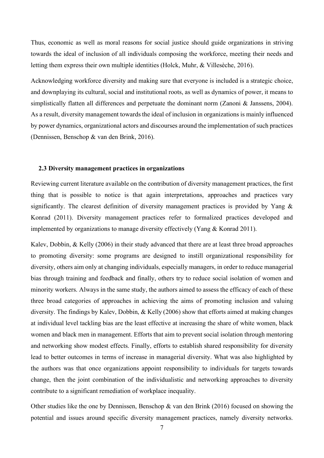Thus, economic as well as moral reasons for social justice should guide organizations in striving towards the ideal of inclusion of all individuals composing the workforce, meeting their needs and letting them express their own multiple identities (Holck, Muhr, & Villesèche, 2016).

Acknowledging workforce diversity and making sure that everyone is included is a strategic choice, and downplaying its cultural, social and institutional roots, as well as dynamics of power, it means to simplistically flatten all differences and perpetuate the dominant norm (Zanoni & Janssens, 2004). As a result, diversity management towards the ideal of inclusion in organizations is mainly influenced by power dynamics, organizational actors and discourses around the implementation of such practices (Dennissen, Benschop & van den Brink, 2016).

#### <span id="page-7-0"></span>**2.3 Diversity management practices in organizations**

Reviewing current literature available on the contribution of diversity management practices, the first thing that is possible to notice is that again interpretations, approaches and practices vary significantly. The clearest definition of diversity management practices is provided by Yang & Konrad (2011). Diversity management practices refer to formalized practices developed and implemented by organizations to manage diversity effectively (Yang & Konrad 2011).

Kalev, Dobbin, & Kelly (2006) in their study advanced that there are at least three broad approaches to promoting diversity: some programs are designed to instill organizational responsibility for diversity, others aim only at changing individuals, especially managers, in order to reduce managerial bias through training and feedback and finally, others try to reduce social isolation of women and minority workers. Always in the same study, the authors aimed to assess the efficacy of each of these three broad categories of approaches in achieving the aims of promoting inclusion and valuing diversity. The findings by Kalev, Dobbin, & Kelly (2006) show that efforts aimed at making changes at individual level tackling bias are the least effective at increasing the share of white women, black women and black men in management. Efforts that aim to prevent social isolation through mentoring and networking show modest effects. Finally, efforts to establish shared responsibility for diversity lead to better outcomes in terms of increase in managerial diversity. What was also highlighted by the authors was that once organizations appoint responsibility to individuals for targets towards change, then the joint combination of the individualistic and networking approaches to diversity contribute to a significant remediation of workplace inequality.

Other studies like the one by Dennissen, Benschop & van den Brink (2016) focused on showing the potential and issues around specific diversity management practices, namely diversity networks.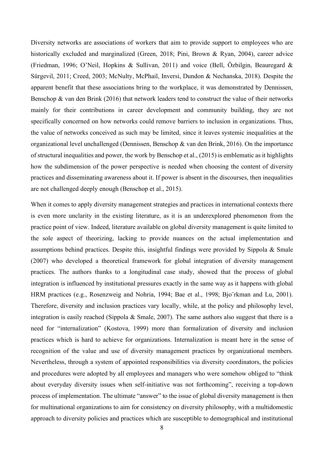Diversity networks are associations of workers that aim to provide support to employees who are historically excluded and marginalized (Green, 2018; Pini, Brown & Ryan, 2004), career advice (Friedman, 1996; O'Neil, Hopkins & Sullivan, 2011) and voice (Bell, Özbilgin, Beauregard & Sürgevil, 2011; Creed, 2003; McNulty, McPhail, Inversi, Dundon & Nechanska, 2018). Despite the apparent benefit that these associations bring to the workplace, it was demonstrated by Dennissen, Benschop & van den Brink (2016) that network leaders tend to construct the value of their networks mainly for their contributions in career development and community building, they are not specifically concerned on how networks could remove barriers to inclusion in organizations. Thus, the value of networks conceived as such may be limited, since it leaves systemic inequalities at the organizational level unchallenged (Dennissen, Benschop & van den Brink, 2016). On the importance of structural inequalities and power, the work by Benschop et al., (2015) is emblematic as it highlights how the subdimension of the power perspective is needed when choosing the content of diversity practices and disseminating awareness about it. If power is absent in the discourses, then inequalities are not challenged deeply enough (Benschop et al., 2015).

When it comes to apply diversity management strategies and practices in international contexts there is even more unclarity in the existing literature, as it is an underexplored phenomenon from the practice point of view. Indeed, literature available on global diversity management is quite limited to the sole aspect of theorizing, lacking to provide nuances on the actual implementation and assumptions behind practices. Despite this, insightful findings were provided by Sippola & Smale (2007) who developed a theoretical framework for global integration of diversity management practices. The authors thanks to a longitudinal case study, showed that the process of global integration is influenced by institutional pressures exactly in the same way as it happens with global HRM practices (e.g., Rosenzweig and Nohria, 1994; Bae et al., 1998; Bjo¨rkman and Lu, 2001). Therefore, diversity and inclusion practices vary locally, while, at the policy and philosophy level, integration is easily reached (Sippola & Smale, 2007). The same authors also suggest that there is a need for "internalization" (Kostova, 1999) more than formalization of diversity and inclusion practices which is hard to achieve for organizations. Internalization is meant here in the sense of recognition of the value and use of diversity management practices by organizational members. Nevertheless, through a system of appointed responsibilities via diversity coordinators, the policies and procedures were adopted by all employees and managers who were somehow obliged to "think about everyday diversity issues when self-initiative was not forthcoming", receiving a top-down process of implementation. The ultimate "answer" to the issue of global diversity management is then for multinational organizations to aim for consistency on diversity philosophy, with a multidomestic approach to diversity policies and practices which are susceptible to demographical and institutional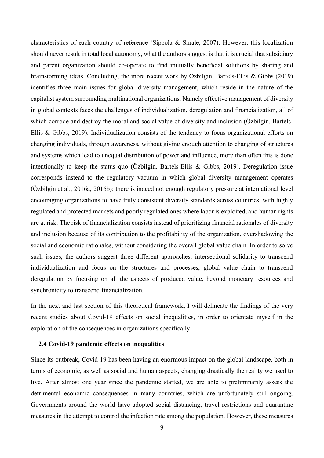characteristics of each country of reference (Sippola & Smale, 2007). However, this localization should never result in total local autonomy, what the authors suggest is that it is crucial that subsidiary and parent organization should co-operate to find mutually beneficial solutions by sharing and brainstorming ideas. Concluding, the more recent work by Özbilgin, Bartels-Ellis & Gibbs (2019) identifies three main issues for global diversity management, which reside in the nature of the capitalist system surrounding multinational organizations. Namely effective management of diversity in global contexts faces the challenges of individualization, deregulation and financialization, all of which corrode and destroy the moral and social value of diversity and inclusion (Özbilgin, Bartels-Ellis & Gibbs, 2019). Individualization consists of the tendency to focus organizational efforts on changing individuals, through awareness, without giving enough attention to changing of structures and systems which lead to unequal distribution of power and influence, more than often this is done intentionally to keep the status quo (Özbilgin, Bartels-Ellis & Gibbs, 2019). Deregulation issue corresponds instead to the regulatory vacuum in which global diversity management operates (Özbilgin et al., 2016a, 2016b): there is indeed not enough regulatory pressure at international level encouraging organizations to have truly consistent diversity standards across countries, with highly regulated and protected markets and poorly regulated ones where labor is exploited, and human rights are at risk. The risk of financialization consists instead of prioritizing financial rationales of diversity and inclusion because of its contribution to the profitability of the organization, overshadowing the social and economic rationales, without considering the overall global value chain. In order to solve such issues, the authors suggest three different approaches: intersectional solidarity to transcend individualization and focus on the structures and processes, global value chain to transcend deregulation by focusing on all the aspects of produced value, beyond monetary resources and synchronicity to transcend financialization.

In the next and last section of this theoretical framework, I will delineate the findings of the very recent studies about Covid-19 effects on social inequalities, in order to orientate myself in the exploration of the consequences in organizations specifically.

#### <span id="page-9-0"></span>**2.4 Covid-19 pandemic effects on inequalities**

Since its outbreak, Covid-19 has been having an enormous impact on the global landscape, both in terms of economic, as well as social and human aspects, changing drastically the reality we used to live. After almost one year since the pandemic started, we are able to preliminarily assess the detrimental economic consequences in many countries, which are unfortunately still ongoing. Governments around the world have adopted social distancing, travel restrictions and quarantine measures in the attempt to control the infection rate among the population. However, these measures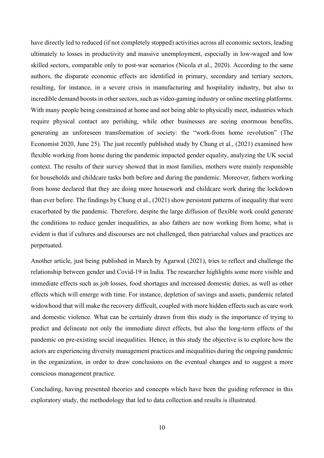have directly led to reduced (if not completely stopped) activities across all economic sectors, leading ultimately to losses in productivity and massive unemployment, especially in low-waged and low skilled sectors, comparable only to post-war scenarios (Nicola et al., 2020). According to the same authors, the disparate economic effects are identified in primary, secondary and tertiary sectors, resulting, for instance, in a severe crisis in manufacturing and hospitality industry, but also to incredible demand boosts in other sectors, such as video-gaming industry or online meeting platforms. With many people being constrained at home and not being able to physically meet, industries which require physical contact are perishing, while other businesses are seeing enormous benefits, generating an unforeseen transformation of society: the "work-from home revolution" (The Economist 2020, June 25). The just recently published study by Chung et al., (2021) examined how flexible working from home during the pandemic impacted gender equality, analyzing the UK social context. The results of their survey showed that in most families, mothers were mainly responsible for households and childcare tasks both before and during the pandemic. Moreover, fathers working from home declared that they are doing more housework and childcare work during the lockdown than ever before. The findings by Chung et al., (2021) show persistent patterns of inequality that were exacerbated by the pandemic. Therefore, despite the large diffusion of flexible work could generate the conditions to reduce gender inequalities, as also fathers are now working from home, what is evident is that if cultures and discourses are not challenged, then patriarchal values and practices are perpetuated.

Another article, just being published in March by Agarwal (2021), tries to reflect and challenge the relationship between gender and Covid-19 in India. The researcher highlights some more visible and immediate effects such as job losses, food shortages and increased domestic duties, as well as other effects which will emerge with time. For instance, depletion of savings and assets, pandemic related widowhood that will make the recovery difficult, coupled with more hidden effects such as care work and domestic violence. What can be certainly drawn from this study is the importance of trying to predict and delineate not only the immediate direct effects, but also the long-term effects of the pandemic on pre-existing social inequalities. Hence, in this study the objective is to explore how the actors are experiencing diversity management practices and inequalities during the ongoing pandemic in the organization, in order to draw conclusions on the eventual changes and to suggest a more conscious management practice.

Concluding, having presented theories and concepts which have been the guiding reference in this exploratory study, the methodology that led to data collection and results is illustrated.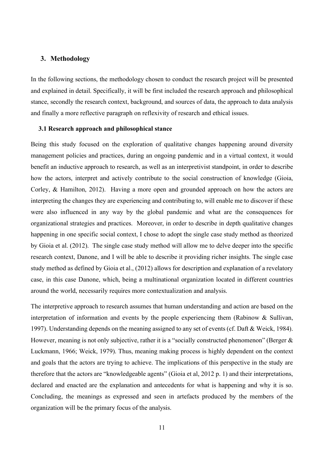# <span id="page-11-0"></span>**3. Methodology**

In the following sections, the methodology chosen to conduct the research project will be presented and explained in detail. Specifically, it will be first included the research approach and philosophical stance, secondly the research context, background, and sources of data, the approach to data analysis and finally a more reflective paragraph on reflexivity of research and ethical issues.

#### <span id="page-11-1"></span>**3.1 Research approach and philosophical stance**

Being this study focused on the exploration of qualitative changes happening around diversity management policies and practices, during an ongoing pandemic and in a virtual context, it would benefit an inductive approach to research, as well as an interpretivist standpoint, in order to describe how the actors, interpret and actively contribute to the social construction of knowledge (Gioia, Corley, & Hamilton, 2012). Having a more open and grounded approach on how the actors are interpreting the changes they are experiencing and contributing to, will enable me to discover if these were also influenced in any way by the global pandemic and what are the consequences for organizational strategies and practices. Moreover, in order to describe in depth qualitative changes happening in one specific social context, I chose to adopt the single case study method as theorized by Gioia et al. (2012). The single case study method will allow me to delve deeper into the specific research context, Danone, and I will be able to describe it providing richer insights. The single case study method as defined by Gioia et al., (2012) allows for description and explanation of a revelatory case, in this case Danone, which, being a multinational organization located in different countries around the world, necessarily requires more contextualization and analysis.

The interpretive approach to research assumes that human understanding and action are based on the interpretation of information and events by the people experiencing them (Rabinow & Sullivan, 1997). Understanding depends on the meaning assigned to any set of events (cf. Daft & Weick, 1984). However, meaning is not only subjective, rather it is a "socially constructed phenomenon" (Berger & Luckmann, 1966; Weick, 1979). Thus, meaning making process is highly dependent on the context and goals that the actors are trying to achieve. The implications of this perspective in the study are therefore that the actors are "knowledgeable agents" (Gioia et al, 2012 p. 1) and their interpretations, declared and enacted are the explanation and antecedents for what is happening and why it is so. Concluding, the meanings as expressed and seen in artefacts produced by the members of the organization will be the primary focus of the analysis.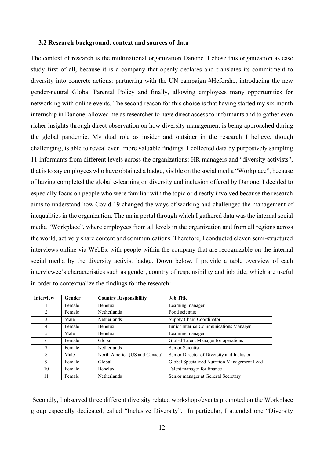#### <span id="page-12-0"></span>**3.2 Research background, context and sources of data**

The context of research is the multinational organization Danone. I chose this organization as case study first of all, because it is a company that openly declares and translates its commitment to diversity into concrete actions: partnering with the UN campaign #Heforshe, introducing the new gender-neutral Global Parental Policy and finally, allowing employees many opportunities for networking with online events. The second reason for this choice is that having started my six-month internship in Danone, allowed me as researcher to have direct access to informants and to gather even richer insights through direct observation on how diversity management is being approached during the global pandemic. My dual role as insider and outsider in the research I believe, though challenging, is able to reveal even more valuable findings. I collected data by purposively sampling 11 informants from different levels across the organizations: HR managers and "diversity activists", that is to say employees who have obtained a badge, visible on the social media "Workplace", because of having completed the global e-learning on diversity and inclusion offered by Danone. I decided to especially focus on people who were familiar with the topic or directly involved because the research aims to understand how Covid-19 changed the ways of working and challenged the management of inequalities in the organization. The main portal through which I gathered data was the internal social media "Workplace", where employees from all levels in the organization and from all regions across the world, actively share content and communications. Therefore, I conducted eleven semi-structured interviews online via WebEx with people within the company that are recognizable on the internal social media by the diversity activist badge. Down below, I provide a table overview of each interviewee's characteristics such as gender, country of responsibility and job title, which are useful in order to contextualize the findings for the research:

| <b>Interview</b> | Gender | <b>Country Responsibility</b> | <b>Job Title</b>                             |
|------------------|--------|-------------------------------|----------------------------------------------|
|                  | Female | <b>Benelux</b>                | Learning manager                             |
| 2                | Female | <b>Netherlands</b>            | Food scientist                               |
| 3                | Male   | <b>Netherlands</b>            | Supply Chain Coordinator                     |
| $\overline{4}$   | Female | <b>Benelux</b>                | Junior Internal Communications Manager       |
| 5                | Male   | <b>Benelux</b>                | Learning manager                             |
| 6                | Female | Global                        | Global Talent Manager for operations         |
| 7                | Female | <b>Netherlands</b>            | Senior Scientist                             |
| 8                | Male   | North America (US and Canada) | Senior Director of Diversity and Inclusion   |
| 9                | Female | Global                        | Global Specialized Nutrition Management Lead |
| 10               | Female | <b>Benelux</b>                | Talent manager for finance                   |
| 11               | Female | Netherlands                   | Senior manager at General Secretary          |

Secondly, I observed three different diversity related workshops/events promoted on the Workplace group especially dedicated, called "Inclusive Diversity". In particular, I attended one "Diversity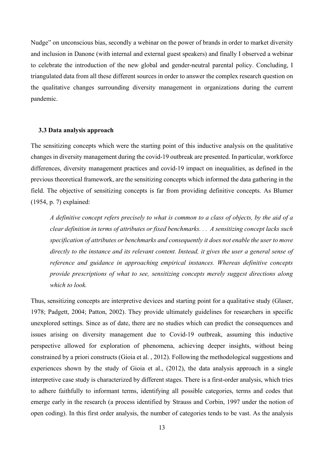Nudge" on unconscious bias, secondly a webinar on the power of brands in order to market diversity and inclusion in Danone (with internal and external guest speakers) and finally I observed a webinar to celebrate the introduction of the new global and gender-neutral parental policy. Concluding, I triangulated data from all these different sources in order to answer the complex research question on the qualitative changes surrounding diversity management in organizations during the current pandemic.

#### <span id="page-13-0"></span>**3.3 Data analysis approach**

The sensitizing concepts which were the starting point of this inductive analysis on the qualitative changes in diversity management during the covid-19 outbreak are presented. In particular, workforce differences, diversity management practices and covid-19 impact on inequalities, as defined in the previous theoretical framework, are the sensitizing concepts which informed the data gathering in the field. The objective of sensitizing concepts is far from providing definitive concepts. As Blumer (1954, p. 7) explained:

*A definitive concept refers precisely to what is common to a class of objects, by the aid of a clear definition in terms of attributes or fixed benchmarks. . . A sensitizing concept lacks such specification of attributes or benchmarks and consequently it does not enable the user to move directly to the instance and its relevant content. Instead, it gives the user a general sense of reference and guidance in approaching empirical instances. Whereas definitive concepts provide prescriptions of what to see, sensitizing concepts merely suggest directions along which to look.* 

Thus, sensitizing concepts are interpretive devices and starting point for a qualitative study (Glaser, 1978; Padgett, 2004; Patton, 2002). They provide ultimately guidelines for researchers in specific unexplored settings. Since as of date, there are no studies which can predict the consequences and issues arising on diversity management due to Covid-19 outbreak, assuming this inductive perspective allowed for exploration of phenomena, achieving deeper insights, without being constrained by a priori constructs (Gioia et al. , 2012). Following the methodological suggestions and experiences shown by the study of Gioia et al., (2012), the data analysis approach in a single interpretive case study is characterized by different stages. There is a first-order analysis, which tries to adhere faithfully to informant terms, identifying all possible categories, terms and codes that emerge early in the research (a process identified by Strauss and Corbin, 1997 under the notion of open coding). In this first order analysis, the number of categories tends to be vast. As the analysis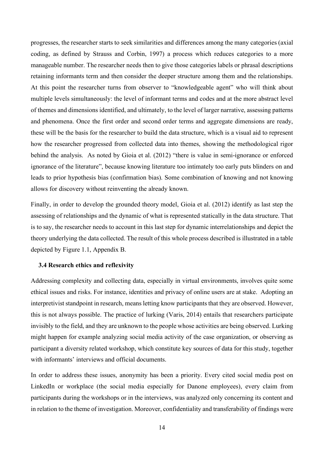progresses, the researcher starts to seek similarities and differences among the many categories (axial coding, as defined by Strauss and Corbin, 1997) a process which reduces categories to a more manageable number. The researcher needs then to give those categories labels or phrasal descriptions retaining informants term and then consider the deeper structure among them and the relationships. At this point the researcher turns from observer to "knowledgeable agent" who will think about multiple levels simultaneously: the level of informant terms and codes and at the more abstract level of themes and dimensions identified, and ultimately, to the level of larger narrative, assessing patterns and phenomena. Once the first order and second order terms and aggregate dimensions are ready, these will be the basis for the researcher to build the data structure, which is a visual aid to represent how the researcher progressed from collected data into themes, showing the methodological rigor behind the analysis. As noted by Gioia et al. (2012) "there is value in semi-ignorance or enforced ignorance of the literature", because knowing literature too intimately too early puts blinders on and leads to prior hypothesis bias (confirmation bias). Some combination of knowing and not knowing allows for discovery without reinventing the already known.

Finally, in order to develop the grounded theory model, Gioia et al. (2012) identify as last step the assessing of relationships and the dynamic of what is represented statically in the data structure. That is to say, the researcher needs to account in this last step for dynamic interrelationships and depict the theory underlying the data collected. The result of this whole process described is illustrated in a table depicted by Figure 1.1, Appendix B.

#### <span id="page-14-0"></span>**3.4 Research ethics and reflexivity**

Addressing complexity and collecting data, especially in virtual environments, involves quite some ethical issues and risks. For instance, identities and privacy of online users are at stake. Adopting an interpretivist standpoint in research, means letting know participants that they are observed. However, this is not always possible. The practice of lurking (Varis, 2014) entails that researchers participate invisibly to the field, and they are unknown to the people whose activities are being observed. Lurking might happen for example analyzing social media activity of the case organization, or observing as participant a diversity related workshop, which constitute key sources of data for this study, together with informants' interviews and official documents.

In order to address these issues, anonymity has been a priority. Every cited social media post on LinkedIn or workplace (the social media especially for Danone employees), every claim from participants during the workshops or in the interviews, was analyzed only concerning its content and in relation to the theme of investigation. Moreover, confidentiality and transferability of findings were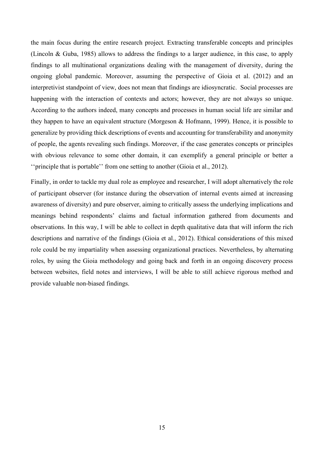the main focus during the entire research project. Extracting transferable concepts and principles (Lincoln & Guba, 1985) allows to address the findings to a larger audience, in this case, to apply findings to all multinational organizations dealing with the management of diversity, during the ongoing global pandemic. Moreover, assuming the perspective of Gioia et al. (2012) and an interpretivist standpoint of view, does not mean that findings are idiosyncratic. Social processes are happening with the interaction of contexts and actors; however, they are not always so unique. According to the authors indeed, many concepts and processes in human social life are similar and they happen to have an equivalent structure (Morgeson & Hofmann, 1999). Hence, it is possible to generalize by providing thick descriptions of events and accounting for transferability and anonymity of people, the agents revealing such findings. Moreover, if the case generates concepts or principles with obvious relevance to some other domain, it can exemplify a general principle or better a ''principle that is portable'' from one setting to another (Gioia et al., 2012).

Finally, in order to tackle my dual role as employee and researcher, I will adopt alternatively the role of participant observer (for instance during the observation of internal events aimed at increasing awareness of diversity) and pure observer, aiming to critically assess the underlying implications and meanings behind respondents' claims and factual information gathered from documents and observations. In this way, I will be able to collect in depth qualitative data that will inform the rich descriptions and narrative of the findings (Gioia et al., 2012). Ethical considerations of this mixed role could be my impartiality when assessing organizational practices. Nevertheless, by alternating roles, by using the Gioia methodology and going back and forth in an ongoing discovery process between websites, field notes and interviews, I will be able to still achieve rigorous method and provide valuable non-biased findings.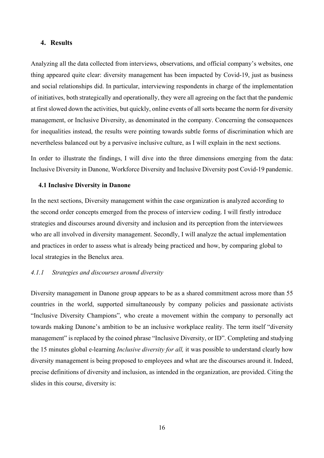#### <span id="page-16-0"></span>**4. Results**

Analyzing all the data collected from interviews, observations, and official company's websites, one thing appeared quite clear: diversity management has been impacted by Covid-19, just as business and social relationships did. In particular, interviewing respondents in charge of the implementation of initiatives, both strategically and operationally, they were all agreeing on the fact that the pandemic at first slowed down the activities, but quickly, online events of all sorts became the norm for diversity management, or Inclusive Diversity, as denominated in the company. Concerning the consequences for inequalities instead, the results were pointing towards subtle forms of discrimination which are nevertheless balanced out by a pervasive inclusive culture, as I will explain in the next sections.

In order to illustrate the findings, I will dive into the three dimensions emerging from the data: Inclusive Diversity in Danone, Workforce Diversity and Inclusive Diversity post Covid-19 pandemic.

#### <span id="page-16-1"></span>**4.1 Inclusive Diversity in Danone**

In the next sections, Diversity management within the case organization is analyzed according to the second order concepts emerged from the process of interview coding. I will firstly introduce strategies and discourses around diversity and inclusion and its perception from the interviewees who are all involved in diversity management. Secondly, I will analyze the actual implementation and practices in order to assess what is already being practiced and how, by comparing global to local strategies in the Benelux area.

## *4.1.1 Strategies and discourses around diversity*

Diversity management in Danone group appears to be as a shared commitment across more than 55 countries in the world, supported simultaneously by company policies and passionate activists "Inclusive Diversity Champions", who create a movement within the company to personally act towards making Danone's ambition to be an inclusive workplace reality. The term itself "diversity management" is replaced by the coined phrase "Inclusive Diversity, or ID". Completing and studying the 15 minutes global e-learning *Inclusive diversity for all,* it was possible to understand clearly how diversity management is being proposed to employees and what are the discourses around it. Indeed, precise definitions of diversity and inclusion, as intended in the organization, are provided. Citing the slides in this course, diversity is: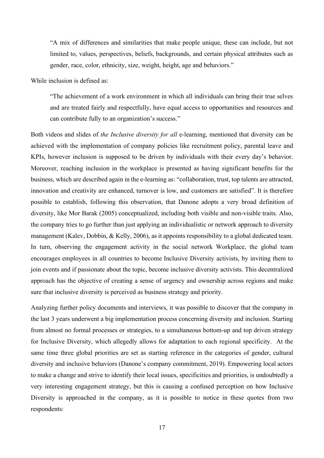"A mix of differences and similarities that make people unique, these can include, but not limited to, values, perspectives, beliefs, backgrounds, and certain physical attributes such as gender, race, color, ethnicity, size, weight, height, age and behaviors."

While inclusion is defined as:

"The achievement of a work environment in which all individuals can bring their true selves and are treated fairly and respectfully, have equal access to opportunities and resources and can contribute fully to an organization's success."

Both videos and slides of *the Inclusive diversity for all* e-learning, mentioned that diversity can be achieved with the implementation of company policies like recruitment policy, parental leave and KPIs, however inclusion is supposed to be driven by individuals with their every day's behavior. Moreover, reaching inclusion in the workplace is presented as having significant benefits for the business, which are described again in the e-learning as: "collaboration, trust, top talents are attracted, innovation and creativity are enhanced, turnover is low, and customers are satisfied". It is therefore possible to establish, following this observation, that Danone adopts a very broad definition of diversity, like Mor Barak (2005) conceptualized, including both visible and non-visible traits. Also, the company tries to go further than just applying an individualistic or network approach to diversity management (Kalev, Dobbin, & Kelly, 2006), as it appoints responsibility to a global dedicated team. In turn, observing the engagement activity in the social network Workplace, the global team encourages employees in all countries to become Inclusive Diversity activists, by inviting them to join events and if passionate about the topic, become inclusive diversity activists. This decentralized approach has the objective of creating a sense of urgency and ownership across regions and make sure that inclusive diversity is perceived as business strategy and priority.

Analyzing further policy documents and interviews, it was possible to discover that the company in the last 3 years underwent a big implementation process concerning diversity and inclusion. Starting from almost no formal processes or strategies, to a simultaneous bottom-up and top driven strategy for Inclusive Diversity, which allegedly allows for adaptation to each regional specificity. At the same time three global priorities are set as starting reference in the categories of gender, cultural diversity and inclusive behaviors (Danone's company commitment, 2019). Empowering local actors to make a change and strive to identify their local issues, specificities and priorities, is undoubtedly a very interesting engagement strategy, but this is causing a confused perception on how Inclusive Diversity is approached in the company, as it is possible to notice in these quotes from two respondents: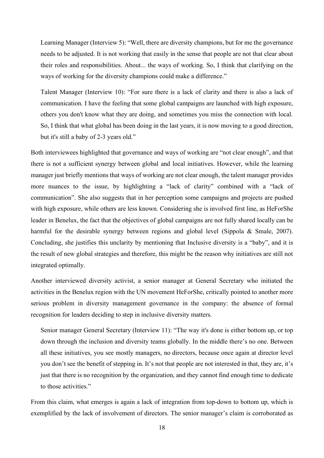Learning Manager (Interview 5): "Well, there are diversity champions, but for me the governance needs to be adjusted. It is not working that easily in the sense that people are not that clear about their roles and responsibilities. About... the ways of working. So, I think that clarifying on the ways of working for the diversity champions could make a difference."

Talent Manager (Interview 10): "For sure there is a lack of clarity and there is also a lack of communication. I have the feeling that some global campaigns are launched with high exposure, others you don't know what they are doing, and sometimes you miss the connection with local. So, I think that what global has been doing in the last years, it is now moving to a good direction, but it's still a baby of 2-3 years old."

Both interviewees highlighted that governance and ways of working are "not clear enough", and that there is not a sufficient synergy between global and local initiatives. However, while the learning manager just briefly mentions that ways of working are not clear enough, the talent manager provides more nuances to the issue, by highlighting a "lack of clarity" combined with a "lack of communication". She also suggests that in her perception some campaigns and projects are pushed with high exposure, while others are less known. Considering she is involved first line, as HeForShe leader in Benelux, the fact that the objectives of global campaigns are not fully shared locally can be harmful for the desirable synergy between regions and global level (Sippola & Smale, 2007). Concluding, she justifies this unclarity by mentioning that Inclusive diversity is a "baby", and it is the result of new global strategies and therefore, this might be the reason why initiatives are still not integrated optimally.

Another interviewed diversity activist, a senior manager at General Secretary who initiated the activities in the Benelux region with the UN movement HeForShe, critically pointed to another more serious problem in diversity management governance in the company: the absence of formal recognition for leaders deciding to step in inclusive diversity matters.

Senior manager General Secretary (Interview 11): "The way it's done is either bottom up, or top down through the inclusion and diversity teams globally. In the middle there's no one. Between all these initiatives, you see mostly managers, no directors, because once again at director level you don't see the benefit of stepping in. It's not that people are not interested in that, they are, it's just that there is no recognition by the organization, and they cannot find enough time to dedicate to those activities."

From this claim, what emerges is again a lack of integration from top-down to bottom up, which is exemplified by the lack of involvement of directors. The senior manager's claim is corroborated as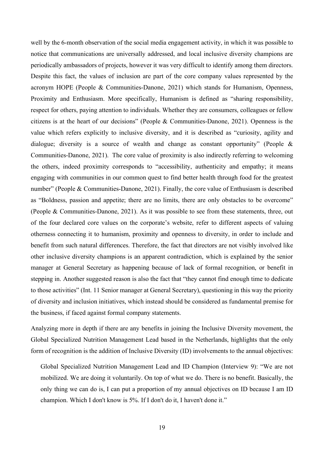well by the 6-month observation of the social media engagement activity, in which it was possible to notice that communications are universally addressed, and local inclusive diversity champions are periodically ambassadors of projects, however it was very difficult to identify among them directors. Despite this fact, the values of inclusion are part of the core company values represented by the acronym HOPE (People & Communities-Danone, 2021) which stands for Humanism, Openness, Proximity and Enthusiasm. More specifically, Humanism is defined as "sharing responsibility, respect for others, paying attention to individuals. Whether they are consumers, colleagues or fellow citizens is at the heart of our decisions" (People & Communities-Danone, 2021). Openness is the value which refers explicitly to inclusive diversity, and it is described as "curiosity, agility and dialogue; diversity is a source of wealth and change as constant opportunity" (People & Communities-Danone, 2021). The core value of proximity is also indirectly referring to welcoming the others, indeed proximity corresponds to "accessibility, authenticity and empathy; it means engaging with communities in our common quest to find better health through food for the greatest number" (People & Communities-Danone, 2021). Finally, the core value of Enthusiasm is described as "Boldness, passion and appetite; there are no limits, there are only obstacles to be overcome" (People & Communities-Danone, 2021). As it was possible to see from these statements, three, out of the four declared core values on the corporate's website, refer to different aspects of valuing otherness connecting it to humanism, proximity and openness to diversity, in order to include and benefit from such natural differences. Therefore, the fact that directors are not visibly involved like other inclusive diversity champions is an apparent contradiction, which is explained by the senior manager at General Secretary as happening because of lack of formal recognition, or benefit in stepping in. Another suggested reason is also the fact that "they cannot find enough time to dedicate to those activities" (Int. 11 Senior manager at General Secretary), questioning in this way the priority of diversity and inclusion initiatives, which instead should be considered as fundamental premise for the business, if faced against formal company statements.

Analyzing more in depth if there are any benefits in joining the Inclusive Diversity movement, the Global Specialized Nutrition Management Lead based in the Netherlands, highlights that the only form of recognition is the addition of Inclusive Diversity (ID) involvements to the annual objectives:

Global Specialized Nutrition Management Lead and ID Champion (Interview 9): "We are not mobilized. We are doing it voluntarily. On top of what we do. There is no benefit. Basically, the only thing we can do is, I can put a proportion of my annual objectives on ID because I am ID champion. Which I don't know is 5%. If I don't do it, I haven't done it."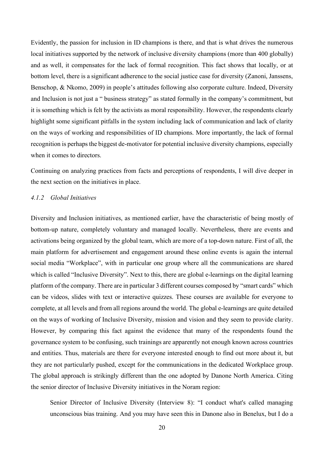Evidently, the passion for inclusion in ID champions is there, and that is what drives the numerous local initiatives supported by the network of inclusive diversity champions (more than 400 globally) and as well, it compensates for the lack of formal recognition. This fact shows that locally, or at bottom level, there is a significant adherence to the social justice case for diversity (Zanoni, Janssens, Benschop, & Nkomo, 2009) in people's attitudes following also corporate culture. Indeed, Diversity and Inclusion is not just a " business strategy" as stated formally in the company's commitment, but it is something which is felt by the activists as moral responsibility. However, the respondents clearly highlight some significant pitfalls in the system including lack of communication and lack of clarity on the ways of working and responsibilities of ID champions. More importantly, the lack of formal recognition is perhaps the biggest de-motivator for potential inclusive diversity champions, especially when it comes to directors.

Continuing on analyzing practices from facts and perceptions of respondents, I will dive deeper in the next section on the initiatives in place.

#### *4.1.2 Global Initiatives*

Diversity and Inclusion initiatives, as mentioned earlier, have the characteristic of being mostly of bottom-up nature, completely voluntary and managed locally. Nevertheless, there are events and activations being organized by the global team, which are more of a top-down nature. First of all, the main platform for advertisement and engagement around these online events is again the internal social media "Workplace", with in particular one group where all the communications are shared which is called "Inclusive Diversity". Next to this, there are global e-learnings on the digital learning platform of the company. There are in particular 3 different courses composed by "smart cards" which can be videos, slides with text or interactive quizzes. These courses are available for everyone to complete, at all levels and from all regions around the world. The global e-learnings are quite detailed on the ways of working of Inclusive Diversity, mission and vision and they seem to provide clarity. However, by comparing this fact against the evidence that many of the respondents found the governance system to be confusing, such trainings are apparently not enough known across countries and entities. Thus, materials are there for everyone interested enough to find out more about it, but they are not particularly pushed, except for the communications in the dedicated Workplace group. The global approach is strikingly different than the one adopted by Danone North America. Citing the senior director of Inclusive Diversity initiatives in the Noram region:

Senior Director of Inclusive Diversity (Interview 8): "I conduct what's called managing unconscious bias training. And you may have seen this in Danone also in Benelux, but I do a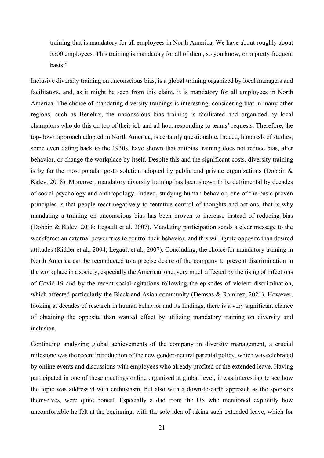training that is mandatory for all employees in North America. We have about roughly about 5500 employees. This training is mandatory for all of them, so you know, on a pretty frequent basis."

Inclusive diversity training on unconscious bias, is a global training organized by local managers and facilitators, and, as it might be seen from this claim, it is mandatory for all employees in North America. The choice of mandating diversity trainings is interesting, considering that in many other regions, such as Benelux, the unconscious bias training is facilitated and organized by local champions who do this on top of their job and ad-hoc, responding to teams' requests. Therefore, the top-down approach adopted in North America, is certainly questionable. Indeed, hundreds of studies, some even dating back to the 1930s, have shown that antibias training does not reduce bias, alter behavior, or change the workplace by itself. Despite this and the significant costs, diversity training is by far the most popular go-to solution adopted by public and private organizations (Dobbin  $\&$ Kalev, 2018). Moreover, mandatory diversity training has been shown to be detrimental by decades of social psychology and anthropology. Indeed, studying human behavior, one of the basic proven principles is that people react negatively to tentative control of thoughts and actions, that is why mandating a training on unconscious bias has been proven to increase instead of reducing bias (Dobbin & Kalev, 2018: Legault et al. 2007). Mandating participation sends a clear message to the workforce: an external power tries to control their behavior, and this will ignite opposite than desired attitudes (Kidder et al., 2004; Legault et al., 2007). Concluding, the choice for mandatory training in North America can be reconducted to a precise desire of the company to prevent discrimination in the workplace in a society, especially the American one, very much affected by the rising of infections of Covid-19 and by the recent social agitations following the episodes of violent discrimination, which affected particularly the Black and Asian community (Demsas & Ramirez, 2021). However, looking at decades of research in human behavior and its findings, there is a very significant chance of obtaining the opposite than wanted effect by utilizing mandatory training on diversity and inclusion.

Continuing analyzing global achievements of the company in diversity management, a crucial milestone wasthe recent introduction of the new gender-neutral parental policy, which was celebrated by online events and discussions with employees who already profited of the extended leave. Having participated in one of these meetings online organized at global level, it was interesting to see how the topic was addressed with enthusiasm, but also with a down-to-earth approach as the sponsors themselves, were quite honest. Especially a dad from the US who mentioned explicitly how uncomfortable he felt at the beginning, with the sole idea of taking such extended leave, which for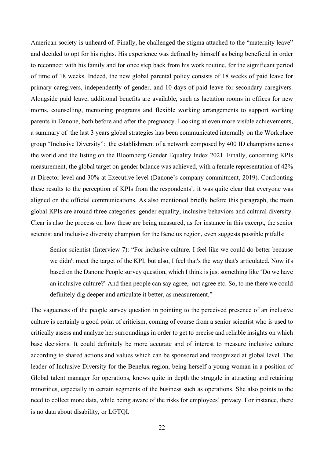American society is unheard of. Finally, he challenged the stigma attached to the "maternity leave" and decided to opt for his rights. His experience was defined by himself as being beneficial in order to reconnect with his family and for once step back from his work routine, for the significant period of time of 18 weeks. Indeed, the new global parental policy consists of 18 weeks of paid leave for primary caregivers, independently of gender, and 10 days of paid leave for secondary caregivers. Alongside paid leave, additional benefits are available, such as lactation rooms in offices for new moms, counselling, mentoring programs and flexible working arrangements to support working parents in Danone, both before and after the pregnancy. Looking at even more visible achievements, a summary of the last 3 years global strategies has been communicated internally on the Workplace group "Inclusive Diversity": the establishment of a network composed by 400 ID champions across the world and the listing on the Bloomberg Gender Equality Index 2021. Finally, concerning KPIs measurement, the global target on gender balance was achieved, with a female representation of 42% at Director level and 30% at Executive level (Danone's company commitment, 2019). Confronting these results to the perception of KPIs from the respondents', it was quite clear that everyone was aligned on the official communications. As also mentioned briefly before this paragraph, the main global KPIs are around three categories: gender equality, inclusive behaviors and cultural diversity. Clear is also the process on how these are being measured, as for instance in this excerpt, the senior scientist and inclusive diversity champion for the Benelux region, even suggests possible pitfalls:

Senior scientist (Interview 7): "For inclusive culture. I feel like we could do better because we didn't meet the target of the KPI, but also, I feel that's the way that's articulated. Now it's based on the Danone People survey question, which I think is just something like 'Do we have an inclusive culture?' And then people can say agree, not agree etc. So, to me there we could definitely dig deeper and articulate it better, as measurement."

The vagueness of the people survey question in pointing to the perceived presence of an inclusive culture is certainly a good point of criticism, coming of course from a senior scientist who is used to critically assess and analyze her surroundings in order to get to precise and reliable insights on which base decisions. It could definitely be more accurate and of interest to measure inclusive culture according to shared actions and values which can be sponsored and recognized at global level. The leader of Inclusive Diversity for the Benelux region, being herself a young woman in a position of Global talent manager for operations, knows quite in depth the struggle in attracting and retaining minorities, especially in certain segments of the business such as operations. She also points to the need to collect more data, while being aware of the risks for employees' privacy. For instance, there is no data about disability, or LGTQI.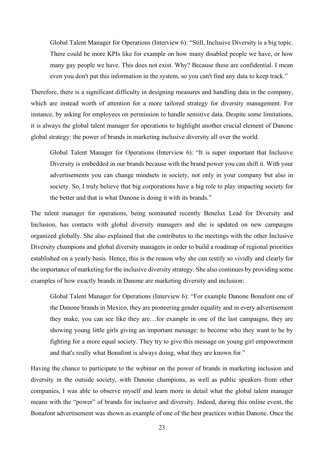Global Talent Manager for Operations (Interview 6): "Still, Inclusive Diversity is a big topic. There could be more KPIs like for example on how many disabled people we have, or how many gay people we have. This does not exist. Why? Because these are confidential. I mean even you don't put this information in the system, so you can't find any data to keep track."

Therefore, there is a significant difficulty in designing measures and handling data in the company, which are instead worth of attention for a more tailored strategy for diversity management. For instance, by asking for employees on permission to handle sensitive data. Despite some limitations, it is always the global talent manager for operations to highlight another crucial element of Danone global strategy: the power of brands in marketing inclusive diversity all over the world.

Global Talent Manager for Operations (Interview 6): "It is super important that Inclusive Diversity is embedded in our brands because with the brand power you can shift it. With your advertisements you can change mindsets in society, not only in your company but also in society. So, I truly believe that big corporations have a big role to play impacting society for the better and that is what Danone is doing it with its brands."

The talent manager for operations, being nominated recently Benelux Lead for Diversity and Inclusion, has contacts with global diversity managers and she is updated on new campaigns organized globally. She also explained that she contributes to the meetings with the other Inclusive Diversity champions and global diversity managers in order to build a roadmap of regional priorities established on a yearly basis. Hence, this is the reason why she can testify so vividly and clearly for the importance of marketing for the inclusive diversity strategy. She also continues by providing some examples of how exactly brands in Danone are marketing diversity and inclusion:

Global Talent Manager for Operations (Interview 6): "For example Danone Bonafont one of the Danone brands in Mexico, they are pioneering gender equality and in every advertisement they make, you can see like they are…for example in one of the last campaigns, they are showing young little girls giving an important message: to become who they want to be by fighting for a more equal society. They try to give this message on young girl empowerment and that's really what Bonafont is always doing, what they are known for."

Having the chance to participate to the webinar on the power of brands in marketing inclusion and diversity in the outside society, with Danone champions, as well as public speakers from other companies, I was able to observe myself and learn more in detail what the global talent manager means with the "power" of brands for inclusive and diversity. Indeed, during this online event, the Bonafont advertisement was shown as example of one of the best practices within Danone. Once the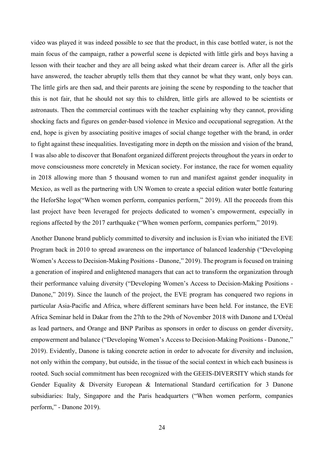video was played it was indeed possible to see that the product, in this case bottled water, is not the main focus of the campaign, rather a powerful scene is depicted with little girls and boys having a lesson with their teacher and they are all being asked what their dream career is. After all the girls have answered, the teacher abruptly tells them that they cannot be what they want, only boys can. The little girls are then sad, and their parents are joining the scene by responding to the teacher that this is not fair, that he should not say this to children, little girls are allowed to be scientists or astronauts. Then the commercial continues with the teacher explaining why they cannot, providing shocking facts and figures on gender-based violence in Mexico and occupational segregation. At the end, hope is given by associating positive images of social change together with the brand, in order to fight against these inequalities. Investigating more in depth on the mission and vision of the brand, I was also able to discover that Bonafont organized different projects throughout the years in order to move consciousness more concretely in Mexican society. For instance, the race for women equality in 2018 allowing more than 5 thousand women to run and manifest against gender inequality in Mexico, as well as the partnering with UN Women to create a special edition water bottle featuring the HeforShe logo("When women perform, companies perform," 2019). All the proceeds from this last project have been leveraged for projects dedicated to women's empowerment, especially in regions affected by the 2017 earthquake ("When women perform, companies perform," 2019).

Another Danone brand publicly committed to diversity and inclusion is Evian who initiated the EVE Program back in 2010 to spread awareness on the importance of balanced leadership ("Developing Women's Access to Decision-Making Positions - Danone," 2019). The program is focused on training a generation of inspired and enlightened managers that can act to transform the organization through their performance valuing diversity ("Developing Women's Access to Decision-Making Positions - Danone," 2019). Since the launch of the project, the EVE program has conquered two regions in particular Asia-Pacific and Africa, where different seminars have been held. For instance, the EVE Africa Seminar held in Dakar from the 27th to the 29th of November 2018 with Danone and L'Oréal as lead partners, and Orange and BNP Paribas as sponsors in order to discuss on gender diversity, empowerment and balance ("Developing Women's Access to Decision-Making Positions - Danone," 2019). Evidently, Danone is taking concrete action in order to advocate for diversity and inclusion, not only within the company, but outside, in the tissue of the social context in which each business is rooted. Such social commitment has been recognized with the GEEIS-DIVERSITY which stands for Gender Equality & Diversity European & International Standard certification for 3 Danone subsidiaries: Italy, Singapore and the Paris headquarters ("When women perform, companies perform," - Danone 2019).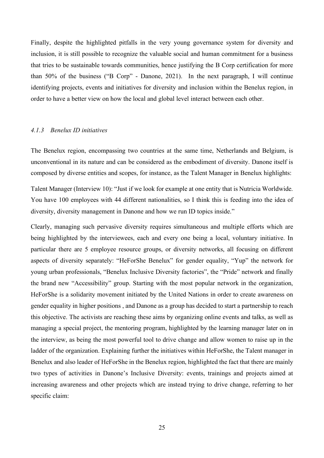Finally, despite the highlighted pitfalls in the very young governance system for diversity and inclusion, it is still possible to recognize the valuable social and human commitment for a business that tries to be sustainable towards communities, hence justifying the B Corp certification for more than 50% of the business ("B Corp" - Danone, 2021). In the next paragraph, I will continue identifying projects, events and initiatives for diversity and inclusion within the Benelux region, in order to have a better view on how the local and global level interact between each other.

#### *4.1.3 Benelux ID initiatives*

The Benelux region, encompassing two countries at the same time, Netherlands and Belgium, is unconventional in its nature and can be considered as the embodiment of diversity. Danone itself is composed by diverse entities and scopes, for instance, as the Talent Manager in Benelux highlights:

Talent Manager (Interview 10): "Just if we look for example at one entity that is Nutricia Worldwide. You have 100 employees with 44 different nationalities, so I think this is feeding into the idea of diversity, diversity management in Danone and how we run ID topics inside."

Clearly, managing such pervasive diversity requires simultaneous and multiple efforts which are being highlighted by the interviewees, each and every one being a local, voluntary initiative. In particular there are 5 employee resource groups, or diversity networks, all focusing on different aspects of diversity separately: "HeForShe Benelux" for gender equality, "Yup" the network for young urban professionals, "Benelux Inclusive Diversity factories", the "Pride" network and finally the brand new "Accessibility" group. Starting with the most popular network in the organization, HeForShe is a solidarity movement initiated by the United Nations in order to create awareness on gender equality in higher positions , and Danone as a group has decided to start a partnership to reach this objective. The activists are reaching these aims by organizing online events and talks, as well as managing a special project, the mentoring program, highlighted by the learning manager later on in the interview, as being the most powerful tool to drive change and allow women to raise up in the ladder of the organization. Explaining further the initiatives within HeForShe, the Talent manager in Benelux and also leader of HeForShe in the Benelux region, highlighted the fact that there are mainly two types of activities in Danone's Inclusive Diversity: events, trainings and projects aimed at increasing awareness and other projects which are instead trying to drive change, referring to her specific claim: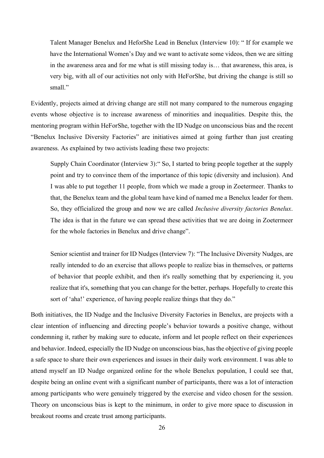Talent Manager Benelux and HeforShe Lead in Benelux (Interview 10): " If for example we have the International Women's Day and we want to activate some videos, then we are sitting in the awareness area and for me what is still missing today is… that awareness, this area, is very big, with all of our activities not only with HeForShe, but driving the change is still so small."

Evidently, projects aimed at driving change are still not many compared to the numerous engaging events whose objective is to increase awareness of minorities and inequalities. Despite this, the mentoring program within HeForShe, together with the ID Nudge on unconscious bias and the recent "Benelux Inclusive Diversity Factories" are initiatives aimed at going further than just creating awareness. As explained by two activists leading these two projects:

Supply Chain Coordinator (Interview 3):" So, I started to bring people together at the supply point and try to convince them of the importance of this topic (diversity and inclusion). And I was able to put together 11 people, from which we made a group in Zoetermeer. Thanks to that, the Benelux team and the global team have kind of named me a Benelux leader for them. So, they officialized the group and now we are called *Inclusive diversity factories Benelux*. The idea is that in the future we can spread these activities that we are doing in Zoetermeer for the whole factories in Benelux and drive change".

Senior scientist and trainer for ID Nudges (Interview 7): "The Inclusive Diversity Nudges, are really intended to do an exercise that allows people to realize bias in themselves, or patterns of behavior that people exhibit, and then it's really something that by experiencing it, you realize that it's, something that you can change for the better, perhaps. Hopefully to create this sort of 'aha!' experience, of having people realize things that they do."

Both initiatives, the ID Nudge and the Inclusive Diversity Factories in Benelux, are projects with a clear intention of influencing and directing people's behavior towards a positive change, without condemning it, rather by making sure to educate, inform and let people reflect on their experiences and behavior. Indeed, especially the ID Nudge on unconscious bias, has the objective of giving people a safe space to share their own experiences and issues in their daily work environment. I was able to attend myself an ID Nudge organized online for the whole Benelux population, I could see that, despite being an online event with a significant number of participants, there was a lot of interaction among participants who were genuinely triggered by the exercise and video chosen for the session. Theory on unconscious bias is kept to the minimum, in order to give more space to discussion in breakout rooms and create trust among participants.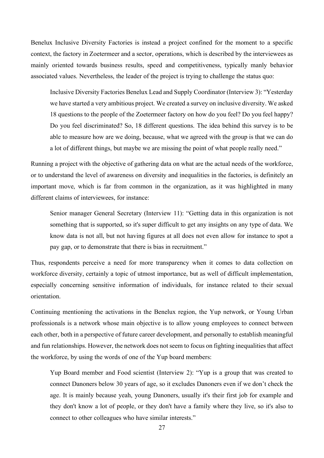Benelux Inclusive Diversity Factories is instead a project confined for the moment to a specific context, the factory in Zoetermeer and a sector, operations, which is described by the interviewees as mainly oriented towards business results, speed and competitiveness, typically manly behavior associated values. Nevertheless, the leader of the project is trying to challenge the status quo:

Inclusive Diversity Factories Benelux Lead and Supply Coordinator (Interview 3): "Yesterday we have started a very ambitious project. We created a survey on inclusive diversity. We asked 18 questions to the people of the Zoetermeer factory on how do you feel? Do you feel happy? Do you feel discriminated? So, 18 different questions. The idea behind this survey is to be able to measure how are we doing, because, what we agreed with the group is that we can do a lot of different things, but maybe we are missing the point of what people really need."

Running a project with the objective of gathering data on what are the actual needs of the workforce, or to understand the level of awareness on diversity and inequalities in the factories, is definitely an important move, which is far from common in the organization, as it was highlighted in many different claims of interviewees, for instance:

Senior manager General Secretary (Interview 11): "Getting data in this organization is not something that is supported, so it's super difficult to get any insights on any type of data. We know data is not all, but not having figures at all does not even allow for instance to spot a pay gap, or to demonstrate that there is bias in recruitment."

Thus, respondents perceive a need for more transparency when it comes to data collection on workforce diversity, certainly a topic of utmost importance, but as well of difficult implementation, especially concerning sensitive information of individuals, for instance related to their sexual orientation.

Continuing mentioning the activations in the Benelux region, the Yup network, or Young Urban professionals is a network whose main objective is to allow young employees to connect between each other, both in a perspective of future career development, and personally to establish meaningful and fun relationships. However, the network does not seem to focus on fighting inequalities that affect the workforce, by using the words of one of the Yup board members:

Yup Board member and Food scientist (Interview 2): "Yup is a group that was created to connect Danoners below 30 years of age, so it excludes Danoners even if we don't check the age. It is mainly because yeah, young Danoners, usually it's their first job for example and they don't know a lot of people, or they don't have a family where they live, so it's also to connect to other colleagues who have similar interests."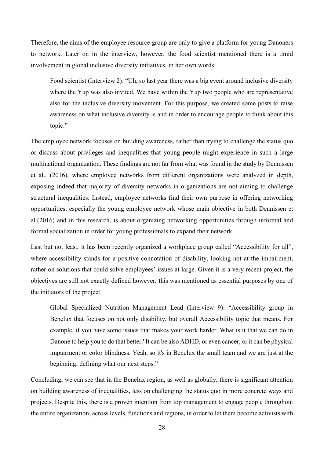Therefore, the aims of the employee resource group are only to give a platform for young Danoners to network. Later on in the interview, however, the food scientist mentioned there is a timid involvement in global inclusive diversity initiatives, in her own words:

Food scientist (Interview 2): "Uh, so last year there was a big event around inclusive diversity where the Yup was also invited. We have within the Yup two people who are representative also for the inclusive diversity movement. For this purpose, we created some posts to raise awareness on what inclusive diversity is and in order to encourage people to think about this topic."

The employee network focuses on building awareness, rather than trying to challenge the status quo or discuss about privileges and inequalities that young people might experience in such a large multinational organization. These findings are not far from what was found in the study by Dennissen et al., (2016), where employee networks from different organizations were analyzed in depth, exposing indeed that majority of diversity networks in organizations are not aiming to challenge structural inequalities. Instead, employee networks find their own purpose in offering networking opportunities, especially the young employee network whose main objective in both Dennissen et al.(2016) and in this research, is about organizing networking opportunities through informal and formal socialization in order for young professionals to expand their network.

Last but not least, it has been recently organized a workplace group called "Accessibility for all", where accessibility stands for a positive connotation of disability, looking not at the impairment, rather on solutions that could solve employees' issues at large. Given it is a very recent project, the objectives are still not exactly defined however, this was mentioned as essential purposes by one of the initiators of the project:

Global Specialized Nutrition Management Lead (Interview 9): "Accessibility group in Benelux that focuses on not only disability, but overall Accessibility topic that means. For example, if you have some issues that makes your work harder. What is it that we can do in Danone to help you to do that better? It can be also ADHD, or even cancer, or it can be physical impairment or color blindness. Yeah, so it's in Benelux the small team and we are just at the beginning, defining what our next steps."

Concluding, we can see that in the Benelux region, as well as globally, there is significant attention on building awareness of inequalities, less on challenging the status quo in more concrete ways and projects. Despite this, there is a proven intention from top management to engage people throughout the entire organization, across levels, functions and regions, in order to let them become activists with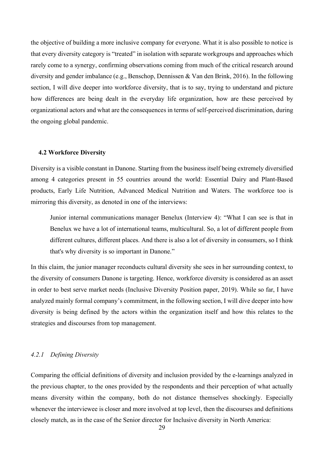the objective of building a more inclusive company for everyone. What it is also possible to notice is that every diversity category is "treated" in isolation with separate workgroups and approaches which rarely come to a synergy, confirming observations coming from much of the critical research around diversity and gender imbalance (e.g., Benschop, Dennissen & Van den Brink, 2016). In the following section, I will dive deeper into workforce diversity, that is to say, trying to understand and picture how differences are being dealt in the everyday life organization, how are these perceived by organizational actors and what are the consequences in terms of self-perceived discrimination, during the ongoing global pandemic.

#### <span id="page-29-0"></span>**4.2 Workforce Diversity**

Diversity is a visible constant in Danone. Starting from the business itself being extremely diversified among 4 categories present in 55 countries around the world: Essential Dairy and Plant-Based products, Early Life Nutrition, Advanced Medical Nutrition and Waters. The workforce too is mirroring this diversity, as denoted in one of the interviews:

Junior internal communications manager Benelux (Interview 4): "What I can see is that in Benelux we have a lot of international teams, multicultural. So, a lot of different people from different cultures, different places. And there is also a lot of diversity in consumers, so I think that's why diversity is so important in Danone."

In this claim, the junior manager reconducts cultural diversity she sees in her surrounding context, to the diversity of consumers Danone is targeting. Hence, workforce diversity is considered as an asset in order to best serve market needs (Inclusive Diversity Position paper, 2019). While so far, I have analyzed mainly formal company's commitment, in the following section, I will dive deeper into how diversity is being defined by the actors within the organization itself and how this relates to the strategies and discourses from top management.

#### *4.2.1 Defining Diversity*

Comparing the official definitions of diversity and inclusion provided by the e-learnings analyzed in the previous chapter, to the ones provided by the respondents and their perception of what actually means diversity within the company, both do not distance themselves shockingly. Especially whenever the interviewee is closer and more involved at top level, then the discourses and definitions closely match, as in the case of the Senior director for Inclusive diversity in North America: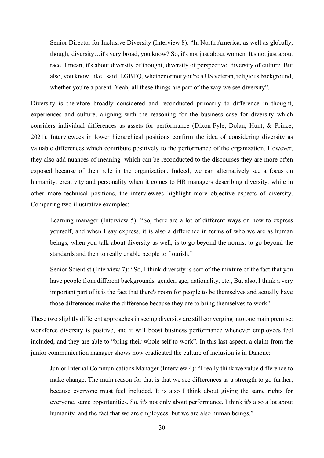Senior Director for Inclusive Diversity (Interview 8): "In North America, as well as globally, though, diversity…it's very broad, you know? So, it's not just about women. It's not just about race. I mean, it's about diversity of thought, diversity of perspective, diversity of culture. But also, you know, like I said, LGBTQ, whether or not you're a US veteran, religious background, whether you're a parent. Yeah, all these things are part of the way we see diversity".

Diversity is therefore broadly considered and reconducted primarily to difference in thought, experiences and culture, aligning with the reasoning for the business case for diversity which considers individual differences as assets for performance (Dixon-Fyle, Dolan, Hunt, & Prince, 2021). Interviewees in lower hierarchical positions confirm the idea of considering diversity as valuable differences which contribute positively to the performance of the organization. However, they also add nuances of meaning which can be reconducted to the discourses they are more often exposed because of their role in the organization. Indeed, we can alternatively see a focus on humanity, creativity and personality when it comes to HR managers describing diversity, while in other more technical positions, the interviewees highlight more objective aspects of diversity. Comparing two illustrative examples:

Learning manager (Interview 5): "So, there are a lot of different ways on how to express yourself, and when I say express, it is also a difference in terms of who we are as human beings; when you talk about diversity as well, is to go beyond the norms, to go beyond the standards and then to really enable people to flourish."

Senior Scientist (Interview 7): "So, I think diversity is sort of the mixture of the fact that you have people from different backgrounds, gender, age, nationality, etc., But also, I think a very important part of it is the fact that there's room for people to be themselves and actually have those differences make the difference because they are to bring themselves to work".

These two slightly different approaches in seeing diversity are still converging into one main premise: workforce diversity is positive, and it will boost business performance whenever employees feel included, and they are able to "bring their whole self to work". In this last aspect, a claim from the junior communication manager shows how eradicated the culture of inclusion is in Danone:

Junior Internal Communications Manager (Interview 4): "I really think we value difference to make change. The main reason for that is that we see differences as a strength to go further, because everyone must feel included. It is also I think about giving the same rights for everyone, same opportunities. So, it's not only about performance, I think it's also a lot about humanity and the fact that we are employees, but we are also human beings."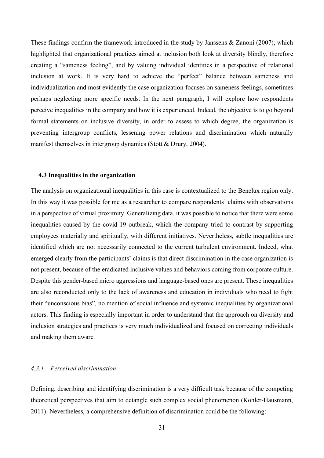These findings confirm the framework introduced in the study by Janssens & Zanoni (2007), which highlighted that organizational practices aimed at inclusion both look at diversity blindly, therefore creating a "sameness feeling", and by valuing individual identities in a perspective of relational inclusion at work. It is very hard to achieve the "perfect" balance between sameness and individualization and most evidently the case organization focuses on sameness feelings, sometimes perhaps neglecting more specific needs. In the next paragraph, I will explore how respondents perceive inequalities in the company and how it is experienced. Indeed, the objective is to go beyond formal statements on inclusive diversity, in order to assess to which degree, the organization is preventing intergroup conflicts, lessening power relations and discrimination which naturally manifest themselves in intergroup dynamics (Stott & Drury, 2004).

#### <span id="page-31-0"></span>**4.3 Inequalities in the organization**

The analysis on organizational inequalities in this case is contextualized to the Benelux region only. In this way it was possible for me as a researcher to compare respondents' claims with observations in a perspective of virtual proximity. Generalizing data, it was possible to notice that there were some inequalities caused by the covid-19 outbreak, which the company tried to contrast by supporting employees materially and spiritually, with different initiatives. Nevertheless, subtle inequalities are identified which are not necessarily connected to the current turbulent environment. Indeed, what emerged clearly from the participants' claims is that direct discrimination in the case organization is not present, because of the eradicated inclusive values and behaviors coming from corporate culture. Despite this gender-based micro aggressions and language-based ones are present. These inequalities are also reconducted only to the lack of awareness and education in individuals who need to fight their "unconscious bias", no mention of social influence and systemic inequalities by organizational actors. This finding is especially important in order to understand that the approach on diversity and inclusion strategies and practices is very much individualized and focused on correcting individuals and making them aware.

#### *4.3.1 Perceived discrimination*

Defining, describing and identifying discrimination is a very difficult task because of the competing theoretical perspectives that aim to detangle such complex social phenomenon (Kohler-Hausmann, 2011). Nevertheless, a comprehensive definition of discrimination could be the following: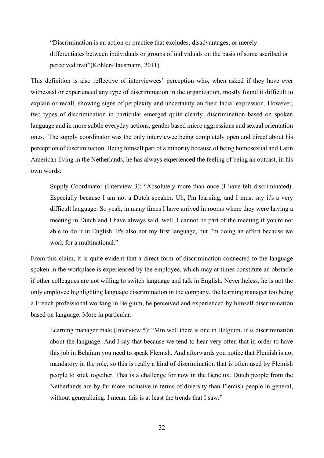"Discrimination is an action or practice that excludes, disadvantages, or merely differentiates between individuals or groups of individuals on the basis of some ascribed or perceived trait"(Kohler-Hausmann, 2011).

This definition is also reflective of interviewees' perception who, when asked if they have ever witnessed or experienced any type of discrimination in the organization, mostly found it difficult to explain or recall, showing signs of perplexity and uncertainty on their facial expression. However, two types of discrimination in particular emerged quite clearly, discrimination based on spoken language and in more subtle everyday actions, gender based micro aggressions and sexual orientation ones. The supply coordinator was the only interviewee being completely open and direct about his perception of discrimination. Being himself part of a minority because of being homosexual and Latin American living in the Netherlands, he has always experienced the feeling of being an outcast, in his own words:

Supply Coordinator (Interview 3): "Absolutely more than once (I have felt discriminated). Especially because I am not a Dutch speaker. Uh, I'm learning, and I must say it's a very difficult language. So yeah, in many times I have arrived in rooms where they were having a meeting in Dutch and I have always said, well, I cannot be part of the meeting if you're not able to do it in English. It's also not my first language, but I'm doing an effort because we work for a multinational."

From this claim, it is quite evident that a direct form of discrimination connected to the language spoken in the workplace is experienced by the employee, which may at times constitute an obstacle if other colleagues are not willing to switch language and talk in English. Nevertheless, he is not the only employee highlighting language discrimination in the company, the learning manager too being a French professional working in Belgium, he perceived and experienced by himself discrimination based on language. More in particular:

Learning manager male (Interview 5): "Mm well there is one in Belgium. It is discrimination about the language. And I say that because we tend to hear very often that in order to have this job in Belgium you need to speak Flemish. And afterwards you notice that Flemish is not mandatory in the role, so this is really a kind of discrimination that is often used by Flemish people to stick together. That is a challenge for now in the Benelux. Dutch people from the Netherlands are by far more inclusive in terms of diversity than Flemish people in general, without generalizing. I mean, this is at least the trends that I saw."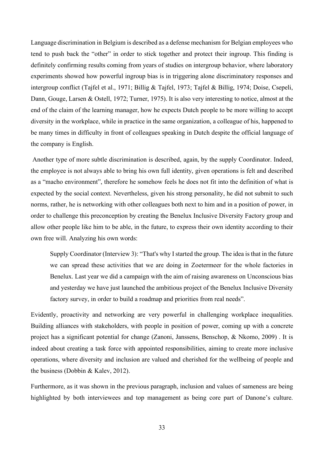Language discrimination in Belgium is described as a defense mechanism for Belgian employees who tend to push back the "other" in order to stick together and protect their ingroup. This finding is definitely confirming results coming from years of studies on intergroup behavior, where laboratory experiments showed how powerful ingroup bias is in triggering alone discriminatory responses and intergroup conflict (Tajfel et al., 1971; Billig & Tajfel, 1973; Tajfel & Billig, 1974; Doise, Csepeli, Dann, Gouge, Larsen & Ostell, 1972; Turner, 1975). It is also very interesting to notice, almost at the end of the claim of the learning manager, how he expects Dutch people to be more willing to accept diversity in the workplace, while in practice in the same organization, a colleague of his, happened to be many times in difficulty in front of colleagues speaking in Dutch despite the official language of the company is English.

Another type of more subtle discrimination is described, again, by the supply Coordinator. Indeed, the employee is not always able to bring his own full identity, given operations is felt and described as a "macho environment", therefore he somehow feels he does not fit into the definition of what is expected by the social context. Nevertheless, given his strong personality, he did not submit to such norms, rather, he is networking with other colleagues both next to him and in a position of power, in order to challenge this preconception by creating the Benelux Inclusive Diversity Factory group and allow other people like him to be able, in the future, to express their own identity according to their own free will. Analyzing his own words:

Supply Coordinator (Interview 3): "That's why I started the group. The idea is that in the future we can spread these activities that we are doing in Zoetermeer for the whole factories in Benelux. Last year we did a campaign with the aim of raising awareness on Unconscious bias and yesterday we have just launched the ambitious project of the Benelux Inclusive Diversity factory survey, in order to build a roadmap and priorities from real needs".

Evidently, proactivity and networking are very powerful in challenging workplace inequalities. Building alliances with stakeholders, with people in position of power, coming up with a concrete project has a significant potential for change (Zanoni, Janssens, Benschop, & Nkomo, 2009) . It is indeed about creating a task force with appointed responsibilities, aiming to create more inclusive operations, where diversity and inclusion are valued and cherished for the wellbeing of people and the business (Dobbin & Kalev, 2012).

Furthermore, as it was shown in the previous paragraph, inclusion and values of sameness are being highlighted by both interviewees and top management as being core part of Danone's culture.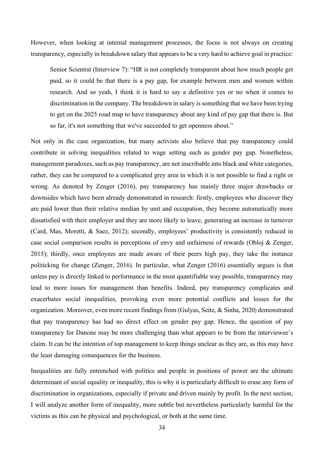However, when looking at internal management processes, the focus is not always on creating transparency, especially in breakdown salary that appears to be a very hard to achieve goal in practice:

Senior Scientist (Interview 7): "HR is not completely transparent about how much people get paid, so it could be that there is a pay gap, for example between men and women within research. And so yeah, I think it is hard to say a definitive yes or no when it comes to discrimination in the company. The breakdown in salary is something that we have been trying to get on the 2025 road map to have transparency about any kind of pay gap that there is. But so far, it's not something that we've succeeded to get openness about."

Not only in the case organization, but many activists also believe that pay transparency could contribute in solving inequalities related to wage setting such as gender pay gap. Nonetheless, management paradoxes, such as pay transparency, are not inscribable into black and white categories, rather, they can be compared to a complicated grey area in which it is not possible to find a right or wrong. As denoted by Zenger (2016), pay transparency has mainly three major drawbacks or downsides which have been already demonstrated in research: firstly, employees who discover they are paid lower than their relative median by unit and occupation, they become automatically more dissatisfied with their employer and they are more likely to leave, generating an increase in turnover (Card, Mas, Moretti, & Saez, 2012); secondly, employees' productivity is consistently reduced in case social comparison results in perceptions of envy and unfairness of rewards (Obloj & Zenger, 2015); thirdly, once employees are made aware of their peers high pay, they take the instance politicking for change (Zenger, 2016). In particular, what Zenger (2016) essentially argues is that unless pay is directly linked to performance in the most quantifiable way possible, transparency may lead to more issues for management than benefits. Indeed, pay transparency complicates and exacerbates social inequalities, provoking even more potential conflicts and losses for the organization. Moreover, even more recent findings from (Gulyas, Seitz, & Sinha, 2020) demonstrated that pay transparency has had no direct effect on gender pay gap. Hence, the question of pay transparency for Danone may be more challenging than what appears to be from the interviewee's claim. It can be the intention of top management to keep things unclear as they are, as this may have the least damaging consequences for the business.

Inequalities are fully entrenched with politics and people in positions of power are the ultimate determinant of social equality or inequality, this is why it is particularly difficult to erase any form of discrimination in organizations, especially if private and driven mainly by profit. In the next section, I will analyze another form of inequality, more subtle but nevertheless particularly harmful for the victims as this can be physical and psychological, or both at the same time.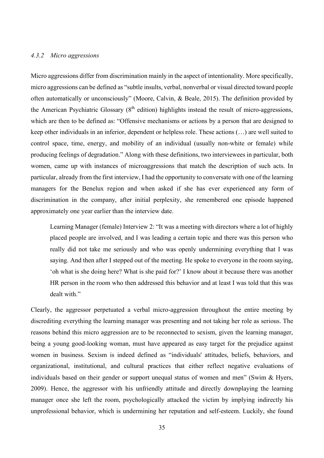#### *4.3.2 Micro aggressions*

Micro aggressions differ from discrimination mainly in the aspect of intentionality. More specifically, micro aggressions can be defined as "subtle insults, verbal, nonverbal or visual directed toward people often automatically or unconsciously" (Moore, Calvin, & Beale, 2015). The definition provided by the American Psychiatric Glossary  $(8<sup>th</sup>$  edition) highlights instead the result of micro-aggressions, which are then to be defined as: "Offensive mechanisms or actions by a person that are designed to keep other individuals in an inferior, dependent or helpless role. These actions (…) are well suited to control space, time, energy, and mobility of an individual (usually non-white or female) while producing feelings of degradation." Along with these definitions, two interviewees in particular, both women, came up with instances of microaggressions that match the description of such acts. In particular, already from the first interview, I had the opportunity to conversate with one of the learning managers for the Benelux region and when asked if she has ever experienced any form of discrimination in the company, after initial perplexity, she remembered one episode happened approximately one year earlier than the interview date.

Learning Manager (female) Interview 2: "It was a meeting with directors where a lot of highly placed people are involved, and I was leading a certain topic and there was this person who really did not take me seriously and who was openly undermining everything that I was saying. And then after I stepped out of the meeting. He spoke to everyone in the room saying, 'oh what is she doing here? What is she paid for?' I know about it because there was another HR person in the room who then addressed this behavior and at least I was told that this was dealt with."

Clearly, the aggressor perpetuated a verbal micro-aggression throughout the entire meeting by discrediting everything the learning manager was presenting and not taking her role as serious. The reasons behind this micro aggression are to be reconnected to sexism, given the learning manager, being a young good-looking woman, must have appeared as easy target for the prejudice against women in business. Sexism is indeed defined as "individuals' attitudes, beliefs, behaviors, and organizational, institutional, and cultural practices that either reflect negative evaluations of individuals based on their gender or support unequal status of women and men" (Swim & Hyers, 2009). Hence, the aggressor with his unfriendly attitude and directly downplaying the learning manager once she left the room, psychologically attacked the victim by implying indirectly his unprofessional behavior, which is undermining her reputation and self-esteem. Luckily, she found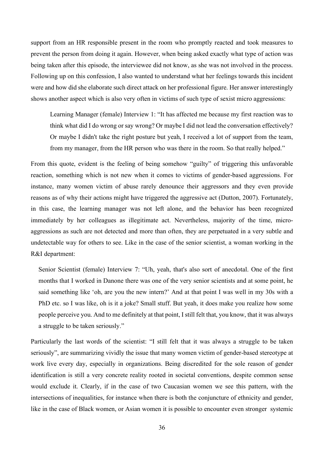support from an HR responsible present in the room who promptly reacted and took measures to prevent the person from doing it again. However, when being asked exactly what type of action was being taken after this episode, the interviewee did not know, as she was not involved in the process. Following up on this confession, I also wanted to understand what her feelings towards this incident were and how did she elaborate such direct attack on her professional figure. Her answer interestingly shows another aspect which is also very often in victims of such type of sexist micro aggressions:

Learning Manager (female) Interview 1: "It has affected me because my first reaction was to think what did I do wrong or say wrong? Or maybe I did not lead the conversation effectively? Or maybe I didn't take the right posture but yeah, I received a lot of support from the team, from my manager, from the HR person who was there in the room. So that really helped."

From this quote, evident is the feeling of being somehow "guilty" of triggering this unfavorable reaction, something which is not new when it comes to victims of gender-based aggressions. For instance, many women victim of abuse rarely denounce their aggressors and they even provide reasons as of why their actions might have triggered the aggressive act (Dutton, 2007). Fortunately, in this case, the learning manager was not left alone, and the behavior has been recognized immediately by her colleagues as illegitimate act. Nevertheless, majority of the time, microaggressions as such are not detected and more than often, they are perpetuated in a very subtle and undetectable way for others to see. Like in the case of the senior scientist, a woman working in the R&I department:

Senior Scientist (female) Interview 7: "Uh, yeah, that's also sort of anecdotal. One of the first months that I worked in Danone there was one of the very senior scientists and at some point, he said something like 'oh, are you the new intern?' And at that point I was well in my 30s with a PhD etc. so I was like, oh is it a joke? Small stuff. But yeah, it does make you realize how some people perceive you. And to me definitely at that point, I still felt that, you know, that it was always a struggle to be taken seriously."

Particularly the last words of the scientist: "I still felt that it was always a struggle to be taken seriously", are summarizing vividly the issue that many women victim of gender-based stereotype at work live every day, especially in organizations. Being discredited for the sole reason of gender identification is still a very concrete reality rooted in societal conventions, despite common sense would exclude it. Clearly, if in the case of two Caucasian women we see this pattern, with the intersections of inequalities, for instance when there is both the conjuncture of ethnicity and gender, like in the case of Black women, or Asian women it is possible to encounter even stronger systemic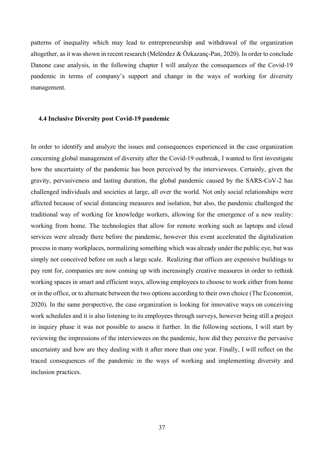patterns of inequality which may lead to entrepreneurship and withdrawal of the organization altogether, as it was shown in recent research (Meléndez & Özkazanç-Pan, 2020). In order to conclude Danone case analysis, in the following chapter I will analyze the consequences of the Covid-19 pandemic in terms of company's support and change in the ways of working for diversity management.

#### <span id="page-37-0"></span>**4.4 Inclusive Diversity post Covid-19 pandemic**

In order to identify and analyze the issues and consequences experienced in the case organization concerning global management of diversity after the Covid-19 outbreak, I wanted to first investigate how the uncertainty of the pandemic has been perceived by the interviewees. Certainly, given the gravity, pervasiveness and lasting duration, the global pandemic caused by the SARS-CoV-2 has challenged individuals and societies at large, all over the world. Not only social relationships were affected because of social distancing measures and isolation, but also, the pandemic challenged the traditional way of working for knowledge workers, allowing for the emergence of a new reality: working from home. The technologies that allow for remote working such as laptops and cloud services were already there before the pandemic, however this event accelerated the digitalization process in many workplaces, normalizing something which was already under the public eye, but was simply not conceived before on such a large scale. Realizing that offices are expensive buildings to pay rent for, companies are now coming up with increasingly creative measures in order to rethink working spaces in smart and efficient ways, allowing employees to choose to work either from home or in the office, or to alternate between the two options according to their own choice (The Economist, 2020). In the same perspective, the case organization is looking for innovative ways on conceiving work schedules and it is also listening to its employees through surveys, however being still a project in inquiry phase it was not possible to assess it further. In the following sections, I will start by reviewing the impressions of the interviewees on the pandemic, how did they perceive the pervasive uncertainty and how are they dealing with it after more than one year. Finally, I will reflect on the traced consequences of the pandemic in the ways of working and implementing diversity and inclusion practices.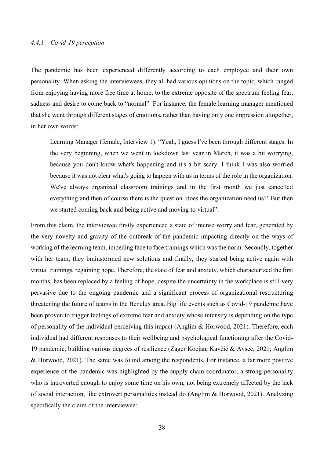#### *4.4.1 Covid-19 perception*

The pandemic has been experienced differently according to each employee and their own personality. When asking the interviewees, they all had various opinions on the topic, which ranged from enjoying having more free time at home, to the extreme opposite of the spectrum feeling fear, sadness and desire to come back to "normal". For instance, the female learning manager mentioned that she went through different stages of emotions, rather than having only one impression altogether, in her own words:

Learning Manager (female, Interview 1): "Yeah, I guess I've been through different stages. In the very beginning, when we went in lockdown last year in March, it was a bit worrying, because you don't know what's happening and it's a bit scary. I think I was also worried because it was not clear what's going to happen with us in terms of the role in the organization. We've always organized classroom trainings and in the first month we just cancelled everything and then of course there is the question 'does the organization need us?' But then we started coming back and being active and moving to virtual".

From this claim, the interviewee firstly experienced a state of intense worry and fear, generated by the very novelty and gravity of the outbreak of the pandemic impacting directly on the ways of working of the learning team, impeding face to face trainings which was the norm. Secondly, together with her team, they brainstormed new solutions and finally, they started being active again with virtual trainings, regaining hope. Therefore, the state of fear and anxiety, which characterized the first months, has been replaced by a feeling of hope, despite the uncertainty in the workplace is still very pervasive due to the ongoing pandemic and a significant process of organizational restructuring threatening the future of teams in the Benelux area. Big life events such as Covid-19 pandemic have been proven to trigger feelings of extreme fear and anxiety whose intensity is depending on the type of personality of the individual perceiving this impact (Anglim & Horwood, 2021). Therefore, each individual had different responses to their wellbeing and psychological functioning after the Covid-19 pandemic, building various degrees of resilience (Zager Kocjan, Kavčič & Avsec, 2021; Anglim & Horwood, 2021). The same was found among the respondents. For instance, a far more positive experience of the pandemic was highlighted by the supply chain coordinator, a strong personality who is introverted enough to enjoy some time on his own, not being extremely affected by the lack of social interaction, like extrovert personalities instead do (Anglim & Horwood, 2021). Analyzing specifically the claim of the interviewee: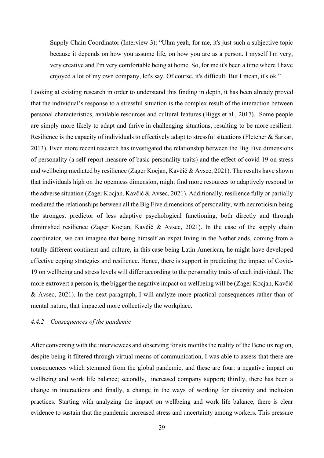Supply Chain Coordinator (Interview 3): "Uhm yeah, for me, it's just such a subjective topic because it depends on how you assume life, on how you are as a person. I myself I'm very, very creative and I'm very comfortable being at home. So, for me it's been a time where I have enjoyed a lot of my own company, let's say. Of course, it's difficult. But I mean, it's ok."

Looking at existing research in order to understand this finding in depth, it has been already proved that the individual's response to a stressful situation is the complex result of the interaction between personal characteristics, available resources and cultural features (Biggs et al., 2017). Some people are simply more likely to adapt and thrive in challenging situations, resulting to be more resilient. Resilience is the capacity of individuals to effectively adapt to stressful situations (Fletcher & Sarkar, 2013). Even more recent research has investigated the relationship between the Big Five dimensions of personality (a self-report measure of basic personality traits) and the effect of covid-19 on stress and wellbeing mediated by resilience (Zager Kocjan, Kavčič & Avsec, 2021). The results have shown that individuals high on the openness dimension, might find more resources to adaptively respond to the adverse situation (Zager Kocjan, Kavčič & Avsec, 2021). Additionally, resilience fully or partially mediated the relationships between all the Big Five dimensions of personality, with neuroticism being the strongest predictor of less adaptive psychological functioning, both directly and through diminished resilience (Zager Kocjan, Kavčič & Avsec, 2021). In the case of the supply chain coordinator, we can imagine that being himself an expat living in the Netherlands, coming from a totally different continent and culture, in this case being Latin American, he might have developed effective coping strategies and resilience. Hence, there is support in predicting the impact of Covid-19 on wellbeing and stress levels will differ according to the personality traits of each individual. The more extrovert a person is, the bigger the negative impact on wellbeing will be (Zager Kocjan, Kavčič & Avsec, 2021). In the next paragraph, I will analyze more practical consequences rather than of mental nature, that impacted more collectively the workplace.

#### *4.4.2 Consequences of the pandemic*

After conversing with the interviewees and observing for six months the reality of the Benelux region, despite being it filtered through virtual means of communication, I was able to assess that there are consequences which stemmed from the global pandemic, and these are four: a negative impact on wellbeing and work life balance; secondly, increased company support; thirdly, there has been a change in interactions and finally, a change in the ways of working for diversity and inclusion practices. Starting with analyzing the impact on wellbeing and work life balance, there is clear evidence to sustain that the pandemic increased stress and uncertainty among workers. This pressure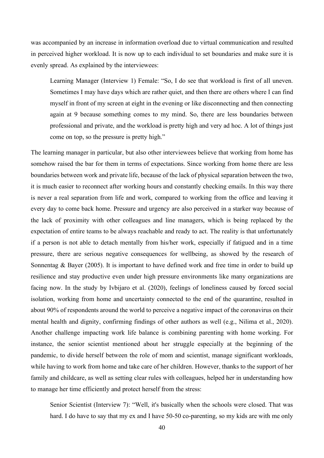was accompanied by an increase in information overload due to virtual communication and resulted in perceived higher workload. It is now up to each individual to set boundaries and make sure it is evenly spread. As explained by the interviewees:

Learning Manager (Interview 1) Female: "So, I do see that workload is first of all uneven. Sometimes I may have days which are rather quiet, and then there are others where I can find myself in front of my screen at eight in the evening or like disconnecting and then connecting again at 9 because something comes to my mind. So, there are less boundaries between professional and private, and the workload is pretty high and very ad hoc. A lot of things just come on top, so the pressure is pretty high."

The learning manager in particular, but also other interviewees believe that working from home has somehow raised the bar for them in terms of expectations. Since working from home there are less boundaries between work and private life, because of the lack of physical separation between the two, it is much easier to reconnect after working hours and constantly checking emails. In this way there is never a real separation from life and work, compared to working from the office and leaving it every day to come back home. Pressure and urgency are also perceived in a starker way because of the lack of proximity with other colleagues and line managers, which is being replaced by the expectation of entire teams to be always reachable and ready to act. The reality is that unfortunately if a person is not able to detach mentally from his/her work, especially if fatigued and in a time pressure, there are serious negative consequences for wellbeing, as showed by the research of Sonnentag & Bayer (2005). It is important to have defined work and free time in order to build up resilience and stay productive even under high pressure environments like many organizations are facing now. In the study by Ivbijaro et al. (2020), feelings of loneliness caused by forced social isolation, working from home and uncertainty connected to the end of the quarantine, resulted in about 90% of respondents around the world to perceive a negative impact of the coronavirus on their mental health and dignity, confirming findings of other authors as well (e.g., Nilima et al., 2020). Another challenge impacting work life balance is combining parenting with home working. For instance, the senior scientist mentioned about her struggle especially at the beginning of the pandemic, to divide herself between the role of mom and scientist, manage significant workloads, while having to work from home and take care of her children. However, thanks to the support of her family and childcare, as well as setting clear rules with colleagues, helped her in understanding how to manage her time efficiently and protect herself from the stress:

Senior Scientist (Interview 7): "Well, it's basically when the schools were closed. That was hard. I do have to say that my ex and I have 50-50 co-parenting, so my kids are with me only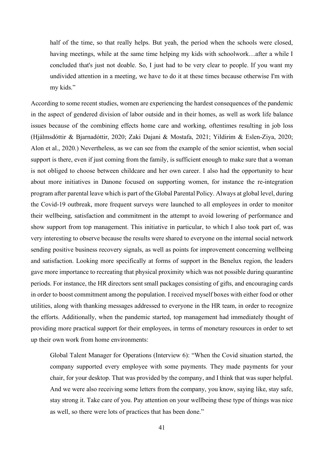half of the time, so that really helps. But yeah, the period when the schools were closed, having meetings, while at the same time helping my kids with schoolwork…after a while I concluded that's just not doable. So, I just had to be very clear to people. If you want my undivided attention in a meeting, we have to do it at these times because otherwise I'm with my kids."

According to some recent studies, women are experiencing the hardest consequences of the pandemic in the aspect of gendered division of labor outside and in their homes, as well as work life balance issues because of the combining effects home care and working, oftentimes resulting in job loss (Hjálmsdóttir & Bjarnadóttir, 2020; Zaki Dajani & Mostafa, 2021; Yildirim & Eslen‐Ziya, 2020; Alon et al., 2020.) Nevertheless, as we can see from the example of the senior scientist, when social support is there, even if just coming from the family, is sufficient enough to make sure that a woman is not obliged to choose between childcare and her own career. I also had the opportunity to hear about more initiatives in Danone focused on supporting women, for instance the re-integration program after parental leave which is part of the Global Parental Policy. Always at global level, during the Covid-19 outbreak, more frequent surveys were launched to all employees in order to monitor their wellbeing, satisfaction and commitment in the attempt to avoid lowering of performance and show support from top management. This initiative in particular, to which I also took part of, was very interesting to observe because the results were shared to everyone on the internal social network sending positive business recovery signals, as well as points for improvement concerning wellbeing and satisfaction. Looking more specifically at forms of support in the Benelux region, the leaders gave more importance to recreating that physical proximity which was not possible during quarantine periods. For instance, the HR directors sent small packages consisting of gifts, and encouraging cards in order to boost commitment among the population. I received myself boxes with either food or other utilities, along with thanking messages addressed to everyone in the HR team, in order to recognize the efforts. Additionally, when the pandemic started, top management had immediately thought of providing more practical support for their employees, in terms of monetary resources in order to set up their own work from home environments:

Global Talent Manager for Operations (Interview 6): "When the Covid situation started, the company supported every employee with some payments. They made payments for your chair, for your desktop. That was provided by the company, and I think that was super helpful. And we were also receiving some letters from the company, you know, saying like, stay safe, stay strong it. Take care of you. Pay attention on your wellbeing these type of things was nice as well, so there were lots of practices that has been done."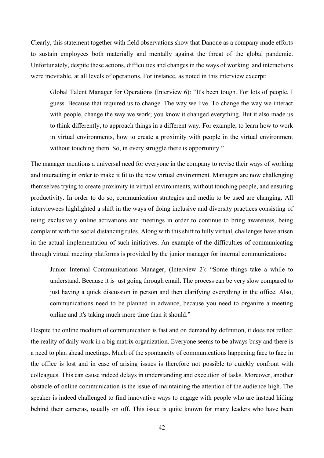Clearly, this statement together with field observations show that Danone as a company made efforts to sustain employees both materially and mentally against the threat of the global pandemic. Unfortunately, despite these actions, difficulties and changes in the ways of working and interactions were inevitable, at all levels of operations. For instance, as noted in this interview excerpt:

Global Talent Manager for Operations (Interview 6): "It's been tough. For lots of people, I guess. Because that required us to change. The way we live. To change the way we interact with people, change the way we work; you know it changed everything. But it also made us to think differently, to approach things in a different way. For example, to learn how to work in virtual environments, how to create a proximity with people in the virtual environment without touching them. So, in every struggle there is opportunity."

The manager mentions a universal need for everyone in the company to revise their ways of working and interacting in order to make it fit to the new virtual environment. Managers are now challenging themselves trying to create proximity in virtual environments, without touching people, and ensuring productivity. In order to do so, communication strategies and media to be used are changing. All interviewees highlighted a shift in the ways of doing inclusive and diversity practices consisting of using exclusively online activations and meetings in order to continue to bring awareness, being complaint with the social distancing rules. Along with this shift to fully virtual, challenges have arisen in the actual implementation of such initiatives. An example of the difficulties of communicating through virtual meeting platforms is provided by the junior manager for internal communications:

Junior Internal Communications Manager, (Interview 2): "Some things take a while to understand. Because it is just going through email. The process can be very slow compared to just having a quick discussion in person and then clarifying everything in the office. Also, communications need to be planned in advance, because you need to organize a meeting online and it's taking much more time than it should."

Despite the online medium of communication is fast and on demand by definition, it does not reflect the reality of daily work in a big matrix organization. Everyone seems to be always busy and there is a need to plan ahead meetings. Much of the spontaneity of communications happening face to face in the office is lost and in case of arising issues is therefore not possible to quickly confront with colleagues. This can cause indeed delays in understanding and execution of tasks. Moreover, another obstacle of online communication is the issue of maintaining the attention of the audience high. The speaker is indeed challenged to find innovative ways to engage with people who are instead hiding behind their cameras, usually on off. This issue is quite known for many leaders who have been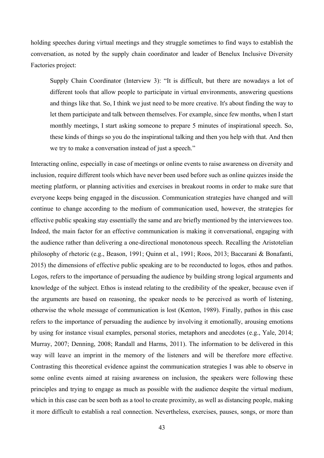holding speeches during virtual meetings and they struggle sometimes to find ways to establish the conversation, as noted by the supply chain coordinator and leader of Benelux Inclusive Diversity Factories project:

Supply Chain Coordinator (Interview 3): "It is difficult, but there are nowadays a lot of different tools that allow people to participate in virtual environments, answering questions and things like that. So, I think we just need to be more creative. It's about finding the way to let them participate and talk between themselves. For example, since few months, when I start monthly meetings, I start asking someone to prepare 5 minutes of inspirational speech. So, these kinds of things so you do the inspirational talking and then you help with that. And then we try to make a conversation instead of just a speech."

Interacting online, especially in case of meetings or online events to raise awareness on diversity and inclusion, require different tools which have never been used before such as online quizzes inside the meeting platform, or planning activities and exercises in breakout rooms in order to make sure that everyone keeps being engaged in the discussion. Communication strategies have changed and will continue to change according to the medium of communication used, however, the strategies for effective public speaking stay essentially the same and are briefly mentioned by the interviewees too. Indeed, the main factor for an effective communication is making it conversational, engaging with the audience rather than delivering a one-directional monotonous speech. Recalling the Aristotelian philosophy of rhetoric (e.g., Beason, 1991; Quinn et al., 1991; Roos, 2013; Baccarani & Bonafanti, 2015) the dimensions of effective public speaking are to be reconducted to logos, ethos and pathos. Logos, refers to the importance of persuading the audience by building strong logical arguments and knowledge of the subject. Ethos is instead relating to the credibility of the speaker, because even if the arguments are based on reasoning, the speaker needs to be perceived as worth of listening, otherwise the whole message of communication is lost (Kenton, 1989). Finally, pathos in this case refers to the importance of persuading the audience by involving it emotionally, arousing emotions by using for instance visual examples, personal stories, metaphors and anecdotes (e.g., Yale, 2014; Murray, 2007; Denning, 2008; Randall and Harms, 2011). The information to be delivered in this way will leave an imprint in the memory of the listeners and will be therefore more effective. Contrasting this theoretical evidence against the communication strategies I was able to observe in some online events aimed at raising awareness on inclusion, the speakers were following these principles and trying to engage as much as possible with the audience despite the virtual medium, which in this case can be seen both as a tool to create proximity, as well as distancing people, making it more difficult to establish a real connection. Nevertheless, exercises, pauses, songs, or more than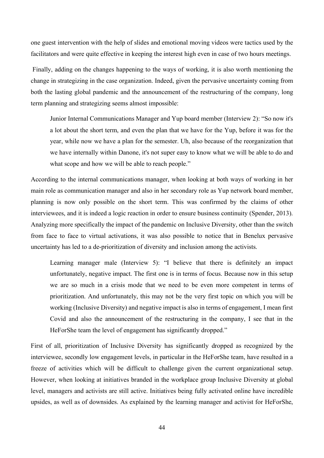one guest intervention with the help of slides and emotional moving videos were tactics used by the facilitators and were quite effective in keeping the interest high even in case of two hours meetings.

Finally, adding on the changes happening to the ways of working, it is also worth mentioning the change in strategizing in the case organization. Indeed, given the pervasive uncertainty coming from both the lasting global pandemic and the announcement of the restructuring of the company, long term planning and strategizing seems almost impossible:

Junior Internal Communications Manager and Yup board member (Interview 2): "So now it's a lot about the short term, and even the plan that we have for the Yup, before it was for the year, while now we have a plan for the semester. Uh, also because of the reorganization that we have internally within Danone, it's not super easy to know what we will be able to do and what scope and how we will be able to reach people."

According to the internal communications manager, when looking at both ways of working in her main role as communication manager and also in her secondary role as Yup network board member, planning is now only possible on the short term. This was confirmed by the claims of other interviewees, and it is indeed a logic reaction in order to ensure business continuity (Spender, 2013). Analyzing more specifically the impact of the pandemic on Inclusive Diversity, other than the switch from face to face to virtual activations, it was also possible to notice that in Benelux pervasive uncertainty has led to a de-prioritization of diversity and inclusion among the activists.

Learning manager male (Interview 5): "I believe that there is definitely an impact unfortunately, negative impact. The first one is in terms of focus. Because now in this setup we are so much in a crisis mode that we need to be even more competent in terms of prioritization. And unfortunately, this may not be the very first topic on which you will be working (Inclusive Diversity) and negative impact is also in terms of engagement, I mean first Covid and also the announcement of the restructuring in the company, I see that in the HeForShe team the level of engagement has significantly dropped."

First of all, prioritization of Inclusive Diversity has significantly dropped as recognized by the interviewee, secondly low engagement levels, in particular in the HeForShe team, have resulted in a freeze of activities which will be difficult to challenge given the current organizational setup. However, when looking at initiatives branded in the workplace group Inclusive Diversity at global level, managers and activists are still active. Initiatives being fully activated online have incredible upsides, as well as of downsides. As explained by the learning manager and activist for HeForShe,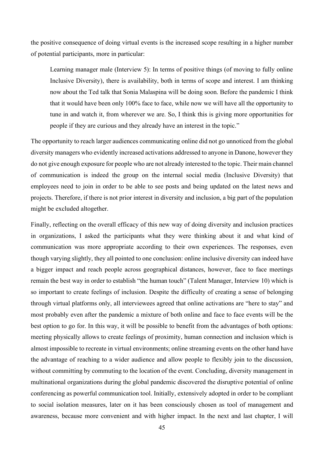the positive consequence of doing virtual events is the increased scope resulting in a higher number of potential participants, more in particular:

Learning manager male (Interview 5): In terms of positive things (of moving to fully online Inclusive Diversity), there is availability, both in terms of scope and interest. I am thinking now about the Ted talk that Sonia Malaspina will be doing soon. Before the pandemic I think that it would have been only 100% face to face, while now we will have all the opportunity to tune in and watch it, from wherever we are. So, I think this is giving more opportunities for people if they are curious and they already have an interest in the topic."

The opportunity to reach larger audiences communicating online did not go unnoticed from the global diversity managers who evidently increased activations addressed to anyone in Danone, however they do not give enough exposure for people who are not already interested to the topic. Their main channel of communication is indeed the group on the internal social media (Inclusive Diversity) that employees need to join in order to be able to see posts and being updated on the latest news and projects. Therefore, if there is not prior interest in diversity and inclusion, a big part of the population might be excluded altogether.

Finally, reflecting on the overall efficacy of this new way of doing diversity and inclusion practices in organizations, I asked the participants what they were thinking about it and what kind of communication was more appropriate according to their own experiences. The responses, even though varying slightly, they all pointed to one conclusion: online inclusive diversity can indeed have a bigger impact and reach people across geographical distances, however, face to face meetings remain the best way in order to establish "the human touch" (Talent Manager, Interview 10) which is so important to create feelings of inclusion. Despite the difficulty of creating a sense of belonging through virtual platforms only, all interviewees agreed that online activations are "here to stay" and most probably even after the pandemic a mixture of both online and face to face events will be the best option to go for. In this way, it will be possible to benefit from the advantages of both options: meeting physically allows to create feelings of proximity, human connection and inclusion which is almost impossible to recreate in virtual environments; online streaming events on the other hand have the advantage of reaching to a wider audience and allow people to flexibly join to the discussion, without committing by commuting to the location of the event. Concluding, diversity management in multinational organizations during the global pandemic discovered the disruptive potential of online conferencing as powerful communication tool. Initially, extensively adopted in order to be compliant to social isolation measures, later on it has been consciously chosen as tool of management and awareness, because more convenient and with higher impact. In the next and last chapter, I will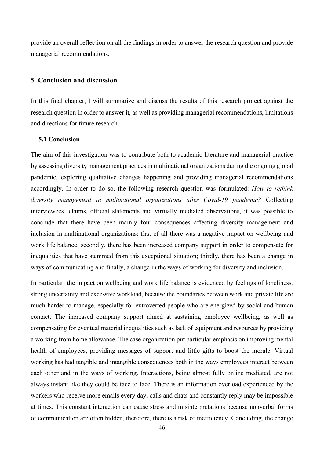provide an overall reflection on all the findings in order to answer the research question and provide managerial recommendations.

#### <span id="page-46-0"></span>**5. Conclusion and discussion**

In this final chapter, I will summarize and discuss the results of this research project against the research question in order to answer it, as well as providing managerial recommendations, limitations and directions for future research.

#### <span id="page-46-1"></span>**5.1 Conclusion**

The aim of this investigation was to contribute both to academic literature and managerial practice by assessing diversity management practices in multinational organizations during the ongoing global pandemic, exploring qualitative changes happening and providing managerial recommendations accordingly. In order to do so, the following research question was formulated: *How to rethink diversity management in multinational organizations after Covid-19 pandemic?* Collecting interviewees' claims, official statements and virtually mediated observations, it was possible to conclude that there have been mainly four consequences affecting diversity management and inclusion in multinational organizations: first of all there was a negative impact on wellbeing and work life balance; secondly, there has been increased company support in order to compensate for inequalities that have stemmed from this exceptional situation; thirdly, there has been a change in ways of communicating and finally, a change in the ways of working for diversity and inclusion.

In particular, the impact on wellbeing and work life balance is evidenced by feelings of loneliness, strong uncertainty and excessive workload, because the boundaries between work and private life are much harder to manage, especially for extroverted people who are energized by social and human contact. The increased company support aimed at sustaining employee wellbeing, as well as compensating for eventual material inequalities such as lack of equipment and resources by providing a working from home allowance. The case organization put particular emphasis on improving mental health of employees, providing messages of support and little gifts to boost the morale. Virtual working has had tangible and intangible consequences both in the ways employees interact between each other and in the ways of working. Interactions, being almost fully online mediated, are not always instant like they could be face to face. There is an information overload experienced by the workers who receive more emails every day, calls and chats and constantly reply may be impossible at times. This constant interaction can cause stress and misinterpretations because nonverbal forms of communication are often hidden, therefore, there is a risk of inefficiency. Concluding, the change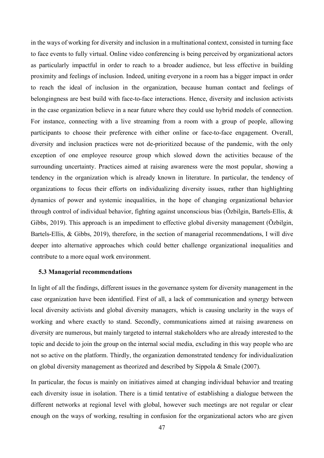in the ways of working for diversity and inclusion in a multinational context, consisted in turning face to face events to fully virtual. Online video conferencing is being perceived by organizational actors as particularly impactful in order to reach to a broader audience, but less effective in building proximity and feelings of inclusion. Indeed, uniting everyone in a room has a bigger impact in order to reach the ideal of inclusion in the organization, because human contact and feelings of belongingness are best build with face-to-face interactions. Hence, diversity and inclusion activists in the case organization believe in a near future where they could use hybrid models of connection. For instance, connecting with a live streaming from a room with a group of people, allowing participants to choose their preference with either online or face-to-face engagement. Overall, diversity and inclusion practices were not de-prioritized because of the pandemic, with the only exception of one employee resource group which slowed down the activities because of the surrounding uncertainty. Practices aimed at raising awareness were the most popular, showing a tendency in the organization which is already known in literature. In particular, the tendency of organizations to focus their efforts on individualizing diversity issues, rather than highlighting dynamics of power and systemic inequalities, in the hope of changing organizational behavior through control of individual behavior, fighting against unconscious bias (Özbilgin, Bartels-Ellis, & Gibbs, 2019). This approach is an impediment to effective global diversity management (Özbilgin, Bartels-Ellis, & Gibbs, 2019), therefore, in the section of managerial recommendations, I will dive deeper into alternative approaches which could better challenge organizational inequalities and contribute to a more equal work environment.

#### <span id="page-47-0"></span>**5.3 Managerial recommendations**

In light of all the findings, different issues in the governance system for diversity management in the case organization have been identified. First of all, a lack of communication and synergy between local diversity activists and global diversity managers, which is causing unclarity in the ways of working and where exactly to stand. Secondly, communications aimed at raising awareness on diversity are numerous, but mainly targeted to internal stakeholders who are already interested to the topic and decide to join the group on the internal social media, excluding in this way people who are not so active on the platform. Thirdly, the organization demonstrated tendency for individualization on global diversity management as theorized and described by Sippola & Smale (2007).

In particular, the focus is mainly on initiatives aimed at changing individual behavior and treating each diversity issue in isolation. There is a timid tentative of establishing a dialogue between the different networks at regional level with global, however such meetings are not regular or clear enough on the ways of working, resulting in confusion for the organizational actors who are given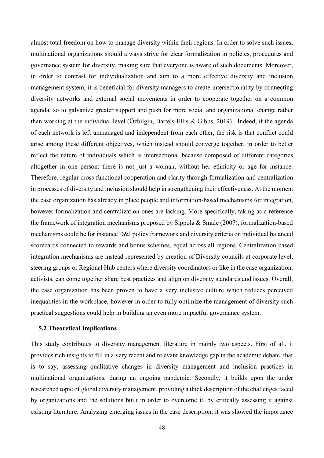almost total freedom on how to manage diversity within their regions. In order to solve such issues, multinational organizations should always strive for clear formalization in policies, procedures and governance system for diversity, making sure that everyone is aware of such documents. Moreover, in order to contrast for individualization and aim to a more effective diversity and inclusion management system, it is beneficial for diversity managers to create intersectionality by connecting diversity networks and external social movements in order to cooperate together on a common agenda, so to galvanize greater support and push for more social and organizational change rather than working at the individual level (Özbilgin, Bartels-Ellis & Gibbs, 2019) . Indeed, if the agenda of each network is left unmanaged and independent from each other, the risk is that conflict could arise among these different objectives, which instead should converge together, in order to better reflect the nature of individuals which is intersectional because composed of different categories altogether in one person: there is not just a woman, without her ethnicity or age for instance. Therefore, regular cross functional cooperation and clarity through formalization and centralization in processes of diversity and inclusion should help in strengthening their effectiveness. At the moment the case organization has already in place people and information-based mechanisms for integration, however formalization and centralization ones are lacking. More specifically, taking as a reference the framework of integration mechanisms proposed by Sippola & Smale (2007), formalization-based mechanisms could be for instance D&I policy framework and diversity criteria on individual balanced scorecards connected to rewards and bonus schemes, equal across all regions. Centralization based integration mechanisms are instead represented by creation of Diversity councils at corporate level, steering groups or Regional Hub centers where diversity coordinators or like in the case organization, activists, can come together share best practices and align on diversity standards and issues. Overall, the case organization has been proven to have a very inclusive culture which reduces perceived inequalities in the workplace, however in order to fully optimize the management of diversity such practical suggestions could help in building an even more impactful governance system.

#### <span id="page-48-0"></span>**5.2 Theoretical Implications**

This study contributes to diversity management literature in mainly two aspects. First of all, it provides rich insights to fill in a very recent and relevant knowledge gap in the academic debate, that is to say, assessing qualitative changes in diversity management and inclusion practices in multinational organizations, during an ongoing pandemic. Secondly, it builds upon the under researched topic of global diversity management, providing a thick description of the challenges faced by organizations and the solutions built in order to overcome it, by critically assessing it against existing literature. Analyzing emerging issues in the case description, it was showed the importance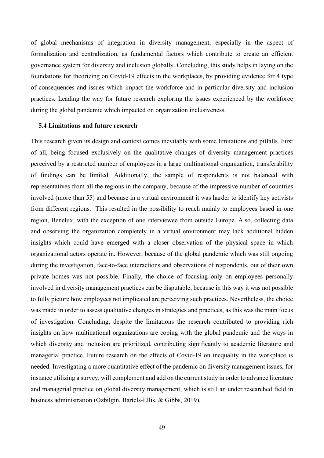of global mechanisms of integration in diversity management, especially in the aspect of formalization and centralization, as fundamental factors which contribute to create an efficient governance system for diversity and inclusion globally. Concluding, this study helps in laying on the foundations for theorizing on Covid-19 effects in the workplaces, by providing evidence for 4 type of consequences and issues which impact the workforce and in particular diversity and inclusion practices. Leading the way for future research exploring the issues experienced by the workforce during the global pandemic which impacted on organization inclusiveness.

#### <span id="page-49-0"></span>**5.4 Limitations and future research**

<span id="page-49-1"></span>This research given its design and context comes inevitably with some limitations and pitfalls. First of all, being focused exclusively on the qualitative changes of diversity management practices perceived by a restricted number of employees in a large multinational organization, transferability of findings can be limited. Additionally, the sample of respondents is not balanced with representatives from all the regions in the company, because of the impressive number of countries involved (more than 55) and because in a virtual environment it was harder to identify key activists from different regions. This resulted in the possibility to reach mainly to employees based in one region, Benelux, with the exception of one interviewee from outside Europe. Also, collecting data and observing the organization completely in a virtual environment may lack additional hidden insights which could have emerged with a closer observation of the physical space in which organizational actors operate in. However, because of the global pandemic which was still ongoing during the investigation, face-to-face interactions and observations of respondents, out of their own private homes was not possible. Finally, the choice of focusing only on employees personally involved in diversity management practices can be disputable, because in this way it was not possible to fully picture how employees not implicated are perceiving such practices. Nevertheless, the choice was made in order to assess qualitative changes in strategies and practices, as this was the main focus of investigation. Concluding, despite the limitations the research contributed to providing rich insights on how multinational organizations are coping with the global pandemic and the ways in which diversity and inclusion are prioritized, contributing significantly to academic literature and managerial practice. Future research on the effects of Covid-19 on inequality in the workplace is needed. Investigating a more quantitative effect of the pandemic on diversity management issues, for instance utilizing a survey, will complement and add on the current study in order to advance literature and managerial practice on global diversity management, which is still an under researched field in business administration (Özbilgin, Bartels-Ellis, & Gibbs, 2019).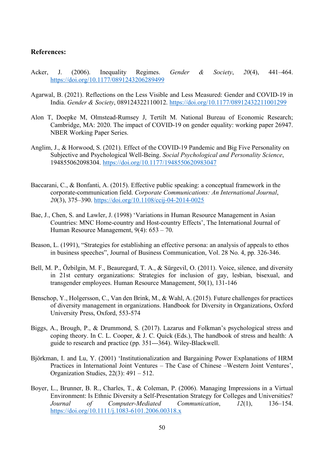## **References:**

- Acker, J. (2006). Inequality Regimes. *Gender & Society*, *20*(4), 441–464. <https://doi.org/10.1177/0891243206289499>
- Agarwal, B. (2021). Reflections on the Less Visible and Less Measured: Gender and COVID-19 in India. *Gender & Society*, 089124322110012.<https://doi.org/10.1177/08912432211001299>
- Alon T, Doepke M, Olmstead-Rumsey J, Tertilt M. National Bureau of Economic Research; Cambridge, MA: 2020. The impact of COVID-19 on gender equality: working paper 26947. NBER Working Paper Series.
- Anglim, J., & Horwood, S. (2021). Effect of the COVID-19 Pandemic and Big Five Personality on Subjective and Psychological Well-Being. *Social Psychological and Personality Science*, 194855062098304.<https://doi.org/10.1177/1948550620983047>
- Baccarani, C., & Bonfanti, A. (2015). Effective public speaking: a conceptual framework in the corporate-communication field. *Corporate Communications: An International Journal*, *20*(3), 375–390.<https://doi.org/10.1108/ccij-04-2014-0025>
- Bae, J., Chen, S. and Lawler, J. (1998) 'Variations in Human Resource Management in Asian Countries: MNC Home-country and Host-country Effects', The International Journal of Human Resource Management, 9(4): 653 – 70.
- Beason, L. (1991), "Strategies for establishing an effective persona: an analysis of appeals to ethos in business speeches", Journal of Business Communication, Vol. 28 No. 4, pp. 326-346.
- Bell, M. P., Özbilgin, M. F., Beauregard, T. A., & Sürgevil, O. (2011). Voice, silence, and diversity in 21st century organizations: Strategies for inclusion of gay, lesbian, bisexual, and transgender employees. Human Resource Management, 50(1), 131-146
- Benschop, Y., Holgersson, C., Van den Brink, M., & Wahl, A. (2015). Future challenges for practices of diversity management in organizations. Handbook for Diversity in Organizations, Oxford University Press, Oxford, 553-574
- Biggs, A., Brough, P., & Drummond, S. (2017). Lazarus and Folkman's psychological stress and coping theory. In C. L. Cooper, & J. C. Quick (Eds.), The handbook of stress and health: A guide to research and practice (pp. 351---364). Wiley-Blackwell.
- Björkman, I. and Lu, Y. (2001) 'Institutionalization and Bargaining Power Explanations of HRM Practices in International Joint Ventures – The Case of Chinese –Western Joint Ventures', Organization Studies, 22(3): 491 – 512.
- Boyer, L., Brunner, B. R., Charles, T., & Coleman, P. (2006). Managing Impressions in a Virtual Environment: Is Ethnic Diversity a Self-Presentation Strategy for Colleges and Universities? *Journal of Computer-Mediated Communication*, *12*(1), 136–154. <https://doi.org/10.1111/j.1083-6101.2006.00318.x>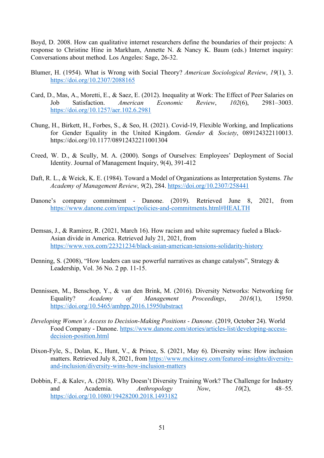Boyd, D. 2008. How can qualitative internet researchers define the boundaries of their projects: A response to Christine Hine in Markham, Annette N. & Nancy K. Baum (eds.) Internet inquiry: Conversations about method. Los Angeles: Sage, 26-32.

- Blumer, H. (1954). What is Wrong with Social Theory? *American Sociological Review*, *19*(1), 3. <https://doi.org/10.2307/2088165>
- Card, D., Mas, A., Moretti, E., & Saez, E. (2012). Inequality at Work: The Effect of Peer Salaries on Job Satisfaction. *American Economic Review*, *102*(6), 2981–3003. <https://doi.org/10.1257/aer.102.6.2981>
- Chung, H., Birkett, H., Forbes, S., & Seo, H. (2021). Covid-19, Flexible Working, and Implications for Gender Equality in the United Kingdom. *Gender & Society*, 089124322110013. https://doi.org/10.1177/08912432211001304
- Creed, W. D., & Scully, M. A. (2000). Songs of Ourselves: Employees' Deployment of Social Identity. Journal of Management Inquiry, 9(4), 391-412
- Daft, R. L., & Weick, K. E. (1984). Toward a Model of Organizations as Interpretation Systems. *The Academy of Management Review*, *9*(2), 284.<https://doi.org/10.2307/258441>
- Danone's company commitment Danone. (2019). Retrieved June 8, 2021, from <https://www.danone.com/impact/policies-and-commitments.html#HEALTH>
- Demsas, J., & Ramirez, R. (2021, March 16). How racism and white supremacy fueled a Black-Asian divide in America. Retrieved July 21, 2021, from <https://www.vox.com/22321234/black-asian-american-tensions-solidarity-history>
- Denning, S. (2008), "How leaders can use powerful narratives as change catalysts", Strategy & Leadership, Vol. 36 No. 2 pp. 11-15.
- Dennissen, M., Benschop, Y., & van den Brink, M. (2016). Diversity Networks: Networking for Equality? *Academy of Management Proceedings*, *2016*(1), 15950. <https://doi.org/10.5465/ambpp.2016.15950abstract>
- *Developing Women's Access to Decision-Making Positions - Danone*. (2019, October 24). World Food Company - Danone. [https://www.danone.com/stories/articles-list/developing-access](https://www.danone.com/stories/articles-list/developing-access-decision-position.html)[decision-position.html](https://www.danone.com/stories/articles-list/developing-access-decision-position.html)
- Dixon-Fyle, S., Dolan, K., Hunt, V., & Prince, S. (2021, May 6). Diversity wins: How inclusion matters. Retrieved July 8, 2021, from [https://www.mckinsey.com/featured-insights/diversity](https://www.mckinsey.com/featured-insights/diversity-and-inclusion/diversity-wins-how-inclusion-matters)[and-inclusion/diversity-wins-how-inclusion-matters](https://www.mckinsey.com/featured-insights/diversity-and-inclusion/diversity-wins-how-inclusion-matters)
- Dobbin, F., & Kalev, A. (2018). Why Doesn't Diversity Training Work? The Challenge for Industry and Academia. *Anthropology Now*, *10*(2), 48–55. <https://doi.org/10.1080/19428200.2018.1493182>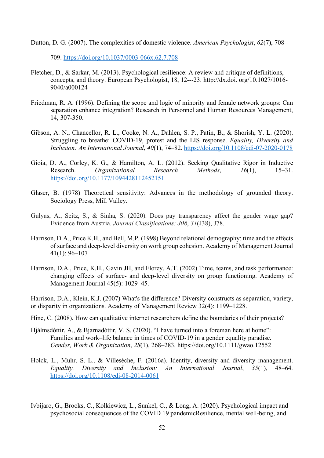Dutton, D. G. (2007). The complexities of domestic violence. *American Psychologist*, *62*(7), 708–

709.<https://doi.org/10.1037/0003-066x.62.7.708>

- Fletcher, D., & Sarkar, M. (2013). Psychological resilience: A review and critique of definitions, concepts, and theory. European Psychologist, 18, 12---23. http://dx.doi. org/10.1027/1016- 9040/a000124
- Friedman, R. A. (1996). Defining the scope and logic of minority and female network groups: Can separation enhance integration? Research in Personnel and Human Resources Management, 14, 307-350.
- Gibson, A. N., Chancellor, R. L., Cooke, N. A., Dahlen, S. P., Patin, B., & Shorish, Y. L. (2020). Struggling to breathe: COVID-19, protest and the LIS response. *Equality, Diversity and Inclusion: An International Journal*, *40*(1), 74–82.<https://doi.org/10.1108/edi-07-2020-0178>
- Gioia, D. A., Corley, K. G., & Hamilton, A. L. (2012). Seeking Qualitative Rigor in Inductive Research. *Organizational Research Methods*, *16*(1), 15–31. <https://doi.org/10.1177/1094428112452151>
- Glaser, B. (1978) Theoretical sensitivity: Advances in the methodology of grounded theory. Sociology Press, Mill Valley.
- Gulyas, A., Seitz, S., & Sinha, S. (2020). Does pay transparency affect the gender wage gap? Evidence from Austria. *Journal Classifications: J08*, *31*(J38), J78.
- Harrison, D.A., Price K.H., and Bell, M.P. (1998) Beyond relational demography: time and the effects of surface and deep-level diversity on work group cohesion. Academy of Management Journal 41(1): 96–107
- Harrison, D.A., Price, K.H., Gavin JH, and Florey, A.T. (2002) Time, teams, and task performance: changing effects of surface- and deep-level diversity on group functioning. Academy of Management Journal 45(5): 1029–45.

Harrison, D.A., Klein, K.J. (2007) What's the difference? Diversity constructs as separation, variety, or disparity in organizations. Academy of Management Review 32(4): 1199–1228.

- Hine, C. (2008). How can qualitative internet researchers define the boundaries of their projects?
- Hjálmsdóttir, A., & Bjarnadóttir, V. S. (2020). "I have turned into a foreman here at home": Families and work–life balance in times of COVID-19 in a gender equality paradise. *Gender, Work & Organization*, *28*(1), 268–283. https://doi.org/10.1111/gwao.12552
- Holck, L., Muhr, S. L., & Villesèche, F. (2016a). Identity, diversity and diversity management. *Equality, Diversity and Inclusion: An International Journal*, *35*(1), 48–64. <https://doi.org/10.1108/edi-08-2014-0061>
- Ivbijaro, G., Brooks, C., Kolkiewicz, L., Sunkel, C., & Long, A. (2020). Psychological impact and psychosocial consequences of the COVID 19 pandemicResilience, mental well-being, and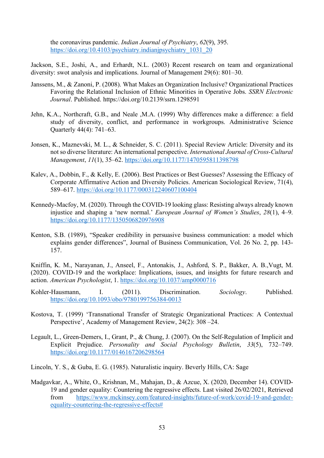the coronavirus pandemic. *Indian Journal of Psychiatry*, *62*(9), 395. [https://doi.org/10.4103/psychiatry.indianjpsychiatry\\_1031\\_20](https://doi.org/10.4103/psychiatry.indianjpsychiatry_1031_20)

Jackson, S.E., Joshi, A., and Erhardt, N.L. (2003) Recent research on team and organizational diversity: swot analysis and implications. Journal of Management 29(6): 801–30.

- Janssens, M., & Zanoni, P. (2008). What Makes an Organization Inclusive? Organizational Practices Favoring the Relational Inclusion of Ethnic Minorities in Operative Jobs. *SSRN Electronic Journal*. Published. https://doi.org/10.2139/ssrn.1298591
- Jehn, K.A., Northcraft, G.B., and Neale ,M.A. (1999) Why differences make a difference: a field study of diversity, conflict, and performance in workgroups. Administrative Science Quarterly 44(4): 741–63.
- Jonsen, K., Maznevski, M. L., & Schneider, S. C. (2011). Special Review Article: Diversity and its not so diverse literature: An international perspective. *International Journal of Cross-Cultural Management*, *11*(1), 35–62.<https://doi.org/10.1177/1470595811398798>
- Kalev, A., Dobbin, F., & Kelly, E. (2006). Best Practices or Best Guesses? Assessing the Efficacy of Corporate Affirmative Action and Diversity Policies. American Sociological Review, 71(4), 589–617.<https://doi.org/10.1177/000312240607100404>
- Kennedy-Macfoy, M. (2020). Through the COVID-19 looking glass: Resisting always already known injustice and shaping a 'new normal.' *European Journal of Women's Studies*, *28*(1), 4–9. <https://doi.org/10.1177/1350506820976908>
- Kenton, S.B. (1989), "Speaker credibility in persuasive business communication: a model which explains gender differences", Journal of Business Communication, Vol. 26 No. 2, pp. 143- 157.

Kniffin, K. M., Narayanan, J., Anseel, F., Antonakis, J., Ashford, S. P., Bakker, A. B.,Vugt, M. (2020). COVID-19 and the workplace: Implications, issues, and insights for future research and action. *American Psychologist*, 1.<https://doi.org/10.1037/amp0000716>

- Kohler-Hausmann, I. (2011). Discrimination. *Sociology*. Published. <https://doi.org/10.1093/obo/9780199756384-0013>
- Kostova, T. (1999) 'Transnational Transfer of Strategic Organizational Practices: A Contextual Perspective', Academy of Management Review, 24(2): 308 –24.
- Legault, L., Green-Demers, I., Grant, P., & Chung, J. (2007). On the Self-Regulation of Implicit and Explicit Prejudice. *Personality and Social Psychology Bulletin*, *33*(5), 732–749. <https://doi.org/10.1177/0146167206298564>
- Lincoln, Y. S., & Guba, E. G. (1985). Naturalistic inquiry. Beverly Hills, CA: Sage
- Madgavkar, A., White, O., Krishnan, M., Mahajan, D., & Azcue, X. (2020, December 14). COVID-19 and gender equality: Countering the regressive effects. Last visited 26/02/2021, Retrieved from [https://www.mckinsey.com/featured-insights/future-of-work/covid-19-and-gender](https://www.mckinsey.com/featured-insights/future-of-work/covid-19-and-gender-equality-countering-the-regressive-effects)[equality-countering-the-regressive-effects#](https://www.mckinsey.com/featured-insights/future-of-work/covid-19-and-gender-equality-countering-the-regressive-effects)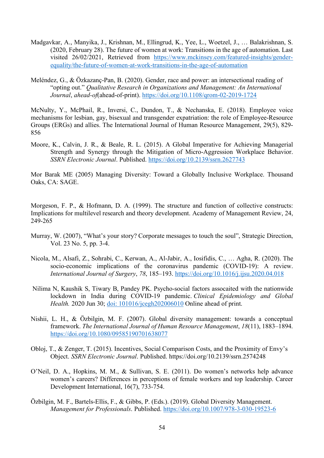- Madgavkar, A., Manyika, J., Krishnan, M., Ellingrud, K., Yee, L., Woetzel, J., … Balakrishnan, S. (2020, February 28). The future of women at work: Transitions in the age of automation. Last visited 26/02/2021, Retrieved from [https://www.mckinsey.com/featured-insights/gender](https://www.mckinsey.com/featured-insights/gender-equality/the-future-of-women-at-work-transitions-in-the-age-of-automation)[equality/the-future-of-women-at-work-transitions-in-the-age-of-automation](https://www.mckinsey.com/featured-insights/gender-equality/the-future-of-women-at-work-transitions-in-the-age-of-automation)
- Meléndez, G., & Özkazanç-Pan, B. (2020). Gender, race and power: an intersectional reading of "opting out." *Qualitative Research in Organizations and Management: An International Journal*, *ahead-of*(ahead-of-print).<https://doi.org/10.1108/qrom-02-2019-1724>

McNulty, Y., McPhail, R., Inversi, C., Dundon, T., & Nechanska, E. (2018). Employee voice mechanisms for lesbian, gay, bisexual and transgender expatriation: the role of Employee-Resource Groups (ERGs) and allies. The International Journal of Human Resource Management, 29(5), 829- 856

Moore, K., Calvin, J. R., & Beale, R. L. (2015). A Global Imperative for Achieving Managerial Strength and Synergy through the Mitigation of Micro-Aggression Workplace Behavior. *SSRN Electronic Journal*. Published.<https://doi.org/10.2139/ssrn.2627743>

Mor Barak ME (2005) Managing Diversity: Toward a Globally Inclusive Workplace. Thousand Oaks, CA: SAGE.

Morgeson, F. P., & Hofmann, D. A. (1999). The structure and function of collective constructs: Implications for multilevel research and theory development. Academy of Management Review, 24, 249-265

- Murray, W. (2007), "What's your story? Corporate messages to touch the soul", Strategic Direction, Vol. 23 No. 5, pp. 3-4.
- Nicola, M., Alsafi, Z., Sohrabi, C., Kerwan, A., Al-Jabir, A., Iosifidis, C., … Agha, R. (2020). The socio-economic implications of the coronavirus pandemic (COVID-19): A review. *International Journal of Surgery*, *78*, 185–193.<https://doi.org/10.1016/j.ijsu.2020.04.018>
- Nilima N, Kaushik S, Tiwary B, Pandey PK. Psycho-social factors assocaited with the nationwide lockdown in India during COVID-19 pandemic. *Clinical Epidemiology and Global Health.* 2020 Jun 30; [doi: 101016/jcegh202006010](doi:%20101016/jcegh202006010) Online ahead of print.
- Nishii, L. H., & Özbilgin, M. F. (2007). Global diversity management: towards a conceptual framework. *The International Journal of Human Resource Management*, *18*(11), 1883–1894. <https://doi.org/10.1080/09585190701638077>
- Obloj, T., & Zenger, T. (2015). Incentives, Social Comparison Costs, and the Proximity of Envy's Object. *SSRN Electronic Journal*. Published. https://doi.org/10.2139/ssrn.2574248
- O'Neil, D. A., Hopkins, M. M., & Sullivan, S. E. (2011). Do women's networks help advance women's careers? Differences in perceptions of female workers and top leadership. Career Development International, 16(7), 733-754.
- Özbilgin, M. F., Bartels-Ellis, F., & Gibbs, P. (Eds.). (2019). Global Diversity Management. *Management for Professionals*. Published.<https://doi.org/10.1007/978-3-030-19523-6>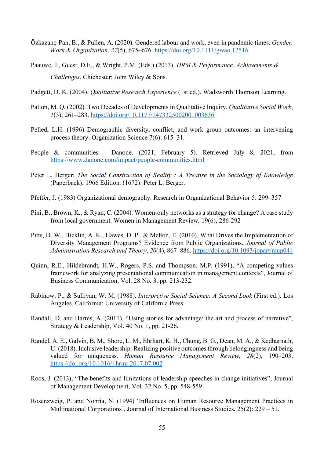- Özkazanç‐Pan, B., & Pullen, A. (2020). Gendered labour and work, even in pandemic times. *Gender, Work & Organization*, *27*(5), 675–676.<https://doi.org/10.1111/gwao.12516>
- Paauwe, J., Guest, D.E., & Wright, P.M. (Eds.) (2013). *HRM & Performance. Achievements & Challenges*. Chichester: John Wiley & Sons.
- Padgett, D. K. (2004). *Qualitative Research Experience* (1st ed.). Wadsworth Thomson Learning.
- Patton, M. Q. (2002). Two Decades of Developments in Qualitative Inquiry. *Qualitative Social Work*, *1*(3), 261–283.<https://doi.org/10.1177/1473325002001003636>
- Pelled, L.H. (1996) Demographic diversity, conflict, and work group outcomes: an intervening process theory. Organization Science 7(6): 615–31.
- People & communities Danone. (2021, February 5). Retrieved July 8, 2021, from <https://www.danone.com/impact/people-communities.html>
- Peter L. Berger: *The Social Construction of Reality : A Treatise in the Sociology of Knowledge* (Paperback); 1966 Edition. (1672): Peter L. Berger.
- Pfeffer, J. (1983) Organizational demography. Research in Organizational Behavior 5: 299–357
- Pini, B., Brown, K., & Ryan, C. (2004). Women-only networks as a strategy for change? A case study from local government. Women in Management Review, 19(6), 286-292
- Pitts, D. W., Hicklin, A. K., Hawes, D. P., & Melton, E. (2010). What Drives the Implementation of Diversity Management Programs? Evidence from Public Organizations. *Journal of Public Administration Research and Theory*, *20*(4), 867–886. <https://doi.org/10.1093/jopart/mup044>
- Quinn, R.E., Hildebrandt, H.W., Rogers, P.S. and Thompson, M.P. (1991), "A competing values framework for analyzing presentational communication in management contexts", Journal of Business Communication, Vol. 28 No. 3, pp. 213-232.
- Rabinow, P., & Sullivan, W. M. (1988). *Interpretive Social Science: A Second Look* (First ed.). Los Angeles, California: University of California Press.
- Randall, D. and Harms, A. (2011), "Using stories for advantage: the art and process of narrative", Strategy & Leadership, Vol. 40 No. 1, pp. 21-26.
- Randel, A. E., Galvin, B. M., Shore, L. M., Ehrhart, K. H., Chung, B. G., Dean, M. A., & Kedharnath, U. (2018). Inclusive leadership: Realizing positive outcomes through belongingness and being valued for uniqueness. *Human Resource Management Review*, *28*(2), 190–203. <https://doi.org/10.1016/j.hrmr.2017.07.002>
- Roos, J. (2013), "The benefits and limitations of leadership speeches in change initiatives", Journal of Management Development, Vol. 32 No. 5, pp. 548-559
- Rosenzweig, P. and Nohria, N. (1994) 'Influences on Human Resource Management Practices in Multinational Corporations', Journal of International Business Studies, 25(2): 229 – 51.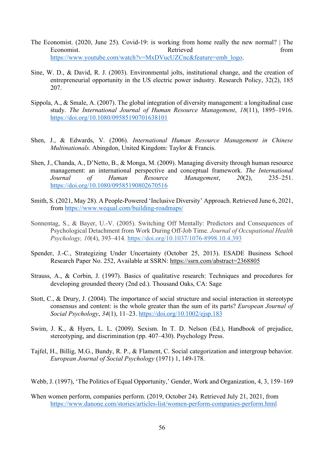- The Economist. (2020, June 25). Covid-19: is working from home really the new normal? | The Economist. The extension of Retrieved from the set of the set of the set of the set of the set of the set of the set of the set of the set of the set of the set of the set of the set of the set of the set of the set of the [https://www.youtube.com/watch?v=MxDVucUZCnc&feature=emb\\_logo.](https://www.youtube.com/watch?v=MxDVucUZCnc&feature=emb_logo)
- Sine, W. D., & David, R. J. (2003). Environmental jolts, institutional change, and the creation of entrepreneurial opportunity in the US electric power industry. Research Policy, 32(2), 185 207.
- Sippola, A., & Smale, A. (2007). The global integration of diversity management: a longitudinal case study. *The International Journal of Human Resource Management*, *18*(11), 1895–1916. <https://doi.org/10.1080/09585190701638101>
- Shen, J., & Edwards, V. (2006). *International Human Resource Management in Chinese Multinationals*. Abingdon, United Kingdom: Taylor & Francis.
- Shen, J., Chanda, A., D'Netto, B., & Monga, M. (2009). Managing diversity through human resource management: an international perspective and conceptual framework. *The International Journal of Human Resource Management*, *20*(2), 235–251. <https://doi.org/10.1080/09585190802670516>
- Smith, S. (2021, May 28). A People-Powered 'Inclusive Diversity' Approach. Retrieved June 6, 2021, from<https://www.wequal.com/building-roadmaps/>
- Sonnentag, S., & Bayer, U.-V. (2005). Switching Off Mentally: Predictors and Consequences of Psychological Detachment from Work During Off-Job Time. *Journal of Occupational Health Psychology, 10*(4), 393–414. [https://doi.org/10.1037/1076-8998.10.4.393](https://psycnet.apa.org/doi/10.1037/1076-8998.10.4.393)
- Spender, J.-C., Strategizing Under Uncertainty (October 25, 2013). ESADE Business School Research Paper No. 252, Available at SSRN: <https://ssrn.com/abstract=2368805>
- Strauss, A., & Corbin, J. (1997). Basics of qualitative research: Techniques and procedures for developing grounded theory (2nd ed.). Thousand Oaks, CA: Sage
- Stott, C., & Drury, J. (2004). The importance of social structure and social interaction in stereotype consensus and content: is the whole greater than the sum of its parts? *European Journal of Social Psychology*, *34*(1), 11–23.<https://doi.org/10.1002/ejsp.183>
- Swim, J. K., & Hyers, L. L. (2009). Sexism. In T. D. Nelson (Ed.), Handbook of prejudice, stereotyping, and discrimination (pp. 407–430). Psychology Press.
- Tajfel, H., Billig, M.G., Bundy, R. P., & Flament, C. Social categorization and intergroup behavior. *European Journal of Social Psychology* (1971) 1, 149-178.
- Webb, J. (1997), 'The Politics of Equal Opportunity,' Gender, Work and Organization, 4, 3, 159–169
- When women perform, companies perform. (2019, October 24). Retrieved July 21, 2021, from <https://www.danone.com/stories/articles-list/women-perform-companies-perform.html>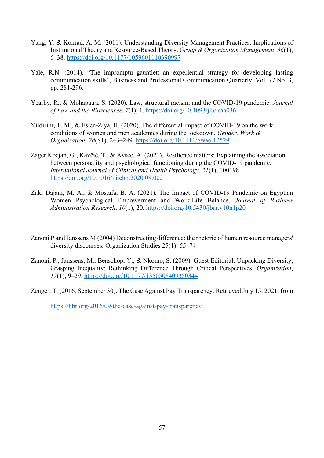- Yang, Y. & Konrad, A. M. (2011). Understanding Diversity Management Practices: Implications of Institutional Theory and Resource-Based Theory. *Group & Organization Management*, *36*(1), 6–38.<https://doi.org/10.1177/1059601110390997>
- Yale, R.N. (2014), "The impromptu gauntlet: an experiential strategy for developing lasting communication skills", Business and Professional Communication Quarterly, Vol. 77 No. 3, pp. 281-296.
- Yearby, R., & Mohapatra, S. (2020). Law, structural racism, and the COVID-19 pandemic. *Journal of Law and the Biosciences*, *7*(1), 1.<https://doi.org/10.1093/jlb/lsaa036>
- Yildirim, T. M., & Eslen-Ziya, H. (2020). The differential impact of COVID-19 on the work conditions of women and men academics during the lockdown. *Gender, Work & Organization*, *28*(S1), 243–249.<https://doi.org/10.1111/gwao.12529>
- Zager Kocjan, G., Kavčič, T., & Avsec, A. (2021). Resilience matters: Explaining the association between personality and psychological functioning during the COVID-19 pandemic. *International Journal of Clinical and Health Psychology*, *21*(1), 100198. <https://doi.org/10.1016/j.ijchp.2020.08.002>
- Zaki Dajani, M. A., & Mostafa, B. A. (2021). The Impact of COVID-19 Pandemic on Egyptian Women Psychological Empowerment and Work-Life Balance. *Journal of Business Administration Research*, *10*(1), 20.<https://doi.org/10.5430/jbar.v10n1p20>
- Zanoni P and Janssens M (2004) Deconstructing difference: the rhetoric of human resource managers' diversity discourses. Organization Studies 25(1): 55–74
- Zanoni, P., Janssens, M., Benschop, Y., & Nkomo, S. (2009). Guest Editorial: Unpacking Diversity, Grasping Inequality: Rethinking Difference Through Critical Perspectives. *Organization*, *17*(1), 9–29.<https://doi.org/10.1177/1350508409350344>
- Zenger, T. (2016, September 30). The Case Against Pay Transparency. Retrieved July 15, 2021, from

<https://hbr.org/2016/09/the-case-against-pay-transparency>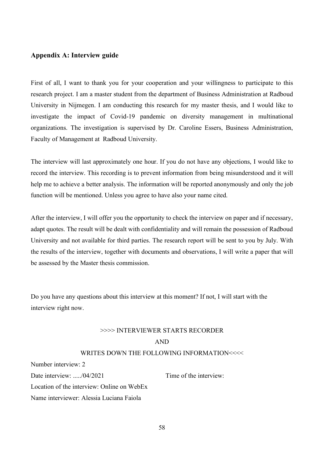#### <span id="page-58-0"></span>**Appendix A: Interview guide**

First of all, I want to thank you for your cooperation and your willingness to participate to this research project. I am a master student from the department of Business Administration at Radboud University in Nijmegen. I am conducting this research for my master thesis, and I would like to investigate the impact of Covid-19 pandemic on diversity management in multinational organizations. The investigation is supervised by Dr. Caroline Essers, Business Administration, Faculty of Management at Radboud University.

The interview will last approximately one hour. If you do not have any objections, I would like to record the interview. This recording is to prevent information from being misunderstood and it will help me to achieve a better analysis. The information will be reported anonymously and only the job function will be mentioned. Unless you agree to have also your name cited.

After the interview, I will offer you the opportunity to check the interview on paper and if necessary, adapt quotes. The result will be dealt with confidentiality and will remain the possession of Radboud University and not available for third parties. The research report will be sent to you by July. With the results of the interview, together with documents and observations, I will write a paper that will be assessed by the Master thesis commission.

Do you have any questions about this interview at this moment? If not, I will start with the interview right now.

# >>>> INTERVIEWER STARTS RECORDER

## AND

#### WRITES DOWN THE FOLLOWING INFORMATION<<<<

Number interview: 2

Date interview: ...../04/2021 Time of the interview:

Location of the interview: Online on WebEx

Name interviewer: Alessia Luciana Faiola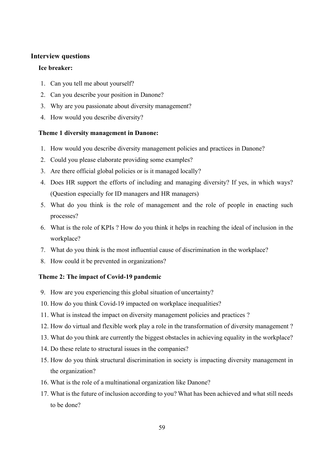# **Interview questions**

# **Ice breaker:**

- 1. Can you tell me about yourself?
- 2. Can you describe your position in Danone?
- 3. Why are you passionate about diversity management?
- 4. How would you describe diversity?

# **Theme 1 diversity management in Danone:**

- 1. How would you describe diversity management policies and practices in Danone?
- 2. Could you please elaborate providing some examples?
- 3. Are there official global policies or is it managed locally?
- 4. Does HR support the efforts of including and managing diversity? If yes, in which ways? (Question especially for ID managers and HR managers)
- 5. What do you think is the role of management and the role of people in enacting such processes?
- 6. What is the role of KPIs ? How do you think it helps in reaching the ideal of inclusion in the workplace?
- 7. What do you think is the most influential cause of discrimination in the workplace?
- 8. How could it be prevented in organizations?

# **Theme 2: The impact of Covid-19 pandemic**

- 9. How are you experiencing this global situation of uncertainty?
- 10. How do you think Covid-19 impacted on workplace inequalities?
- 11. What is instead the impact on diversity management policies and practices ?
- 12. How do virtual and flexible work play a role in the transformation of diversity management ?
- 13. What do you think are currently the biggest obstacles in achieving equality in the workplace?
- 14. Do these relate to structural issues in the companies?
- 15. How do you think structural discrimination in society is impacting diversity management in the organization?
- 16. What is the role of a multinational organization like Danone?
- 17. What is the future of inclusion according to you? What has been achieved and what still needs to be done?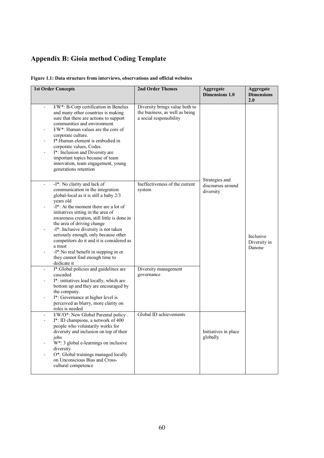# <span id="page-60-0"></span>**Appendix B: Gioia method Coding Template**

|  |  |  | Figure 1.1: Data structure from interviews, observations and official websites |  |  |
|--|--|--|--------------------------------------------------------------------------------|--|--|
|  |  |  |                                                                                |  |  |

| <b>1st Order Concepts</b> |                                                                                                                                                                                                                                                                                                                                                                                                                         | <b>2nd Order Themes</b>                                                                     | Aggregate<br>Dimensions 1.0                      | Aggregate<br><b>Dimensions</b><br>2.0 |
|---------------------------|-------------------------------------------------------------------------------------------------------------------------------------------------------------------------------------------------------------------------------------------------------------------------------------------------------------------------------------------------------------------------------------------------------------------------|---------------------------------------------------------------------------------------------|--------------------------------------------------|---------------------------------------|
| $\overline{\phantom{a}}$  | I/W*: B-Corp certification in Benelux<br>and many other countries is making<br>sure that there are actions to support<br>communities and environment.<br>I/W*: Human values are the core of<br>corporate culture.<br>I*: Human element is embodied in<br>corporate values, Codes.<br>I*: Inclusion and Diversity are<br>important topics because of team<br>innovation, team engagement, young<br>generations retention | Diversity brings value both to<br>the business, as well as being<br>a social responsibility |                                                  |                                       |
| $\blacksquare$            | -I*: No clarity and lack of<br>communication in the integration<br>global-local as it is still a baby 2/3<br>years old<br>-I*: At the moment there are a lot of                                                                                                                                                                                                                                                         | Ineffectiveness of the current<br>system                                                    | Strategies and<br>discourses around<br>diversity |                                       |
|                           | initiatives sitting in the area of<br>awareness creation, still little is done in<br>the area of driving change                                                                                                                                                                                                                                                                                                         |                                                                                             |                                                  |                                       |
|                           | -I*: Inclusive diversity is not taken<br>seriously enough, only because other<br>competitors do it and it is considered as<br>a must                                                                                                                                                                                                                                                                                    |                                                                                             |                                                  | Inclusive<br>Diversity in<br>Danone   |
|                           | -I*:No real benefit in stepping in or<br>they cannot find enough time to<br>dedicate it                                                                                                                                                                                                                                                                                                                                 |                                                                                             |                                                  |                                       |
|                           | I*:Global policies and guidelines are<br>cascaded                                                                                                                                                                                                                                                                                                                                                                       | Diversity management<br>governance                                                          |                                                  |                                       |
|                           | I*: initiatives lead locally, which are<br>bottom up and they are encouraged by<br>the company.                                                                                                                                                                                                                                                                                                                         |                                                                                             |                                                  |                                       |
|                           | I*: Governance at higher level is<br>perceived as blurry, more clarity on<br>roles is needed                                                                                                                                                                                                                                                                                                                            |                                                                                             |                                                  |                                       |
|                           | I/W/O*: New Global Parental policy.                                                                                                                                                                                                                                                                                                                                                                                     | Global ID achievements                                                                      |                                                  |                                       |
|                           | I*: ID champions, a network of 400<br>people who voluntarily works for<br>diversity and inclusion on top of their<br>jobs                                                                                                                                                                                                                                                                                               |                                                                                             | Initiatives in place<br>globally                 |                                       |
|                           | W*: 3 global e-learnings on inclusive<br>diversity                                                                                                                                                                                                                                                                                                                                                                      |                                                                                             |                                                  |                                       |
|                           | O*: Global trainings managed locally<br>on Unconscious Bias and Cross-<br>cultural competence                                                                                                                                                                                                                                                                                                                           |                                                                                             |                                                  |                                       |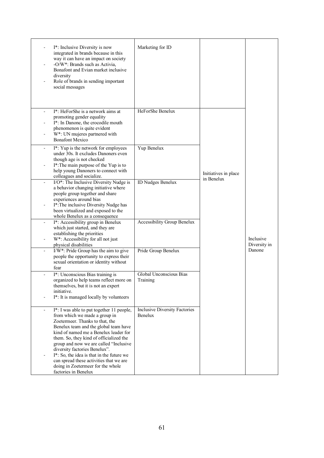|                | I*: Inclusive Diversity is now<br>integrated in brands because in this<br>way it can have an impact on society<br>-O/W*: Brands such as Activia,<br>Bonafont and Evian market inclusive<br>diversity<br>Role of brands in sending important<br>social messages                                                                                                                                                                                                             | Marketing for ID                                |                      |                           |
|----------------|----------------------------------------------------------------------------------------------------------------------------------------------------------------------------------------------------------------------------------------------------------------------------------------------------------------------------------------------------------------------------------------------------------------------------------------------------------------------------|-------------------------------------------------|----------------------|---------------------------|
| $\blacksquare$ | I <sup>*</sup> : HeForShe is a network aims at<br>promoting gender equality<br>I*: In Danone, the crocodile mouth<br>phenomenon is quite evident<br>W*: UN mujeres partnered with<br><b>Bonafont Mexico</b>                                                                                                                                                                                                                                                                | HeForShe Benelux                                |                      |                           |
| $\blacksquare$ | I*: Yup is the network for employees<br>under 30s. It excludes Danoners even<br>though age is not checked<br>I*: The main purpose of the Yup is to<br>help young Danoners to connect with                                                                                                                                                                                                                                                                                  | Yup Benelux                                     | Initiatives in place |                           |
| ÷,             | colleagues and socialize.<br>I/O*: The Inclusive Diversity Nudge is<br>a behavior changing initiative where<br>people group together and share<br>experiences around bias<br>I*: The inclusive Diversity Nudge has                                                                                                                                                                                                                                                         | ID Nudges Benelux                               | in Benelux           |                           |
| $\blacksquare$ | been virtualized and exposed to the<br>whole Benelux as a consequence<br>I*: Accessibility group in Benelux<br>which just started, and they are                                                                                                                                                                                                                                                                                                                            | Accessibility Group Benelux                     |                      |                           |
| $\blacksquare$ | establishing the priorities<br>W*: Accessibility for all not just<br>physical disabilities                                                                                                                                                                                                                                                                                                                                                                                 |                                                 |                      | Inclusive<br>Diversity in |
|                | I/W*: Pride Group has the aim to give<br>people the opportunity to express their<br>sexual orientation or identity without<br>fear                                                                                                                                                                                                                                                                                                                                         | Pride Group Benelux                             |                      | Danone                    |
|                | I*: Unconscious Bias training is<br>organized to help teams reflect more on<br>themselves, but it is not an expert<br>initiative.                                                                                                                                                                                                                                                                                                                                          | Global Unconscious Bias<br>Training             |                      |                           |
|                | I*: It is managed locally by volunteers                                                                                                                                                                                                                                                                                                                                                                                                                                    |                                                 |                      |                           |
| ÷.             | I*: I was able to put together 11 people,<br>from which we made a group in<br>Zoetermeer. Thanks to that, the<br>Benelux team and the global team have<br>kind of named me a Benelux leader for<br>them. So, they kind of officialized the<br>group and now we are called "Inclusive<br>diversity factories Benelux".<br>I*: So, the idea is that in the future we<br>can spread these activities that we are<br>doing in Zoetermeer for the whole<br>factories in Benelux | <b>Inclusive Diversity Factories</b><br>Benelux |                      |                           |